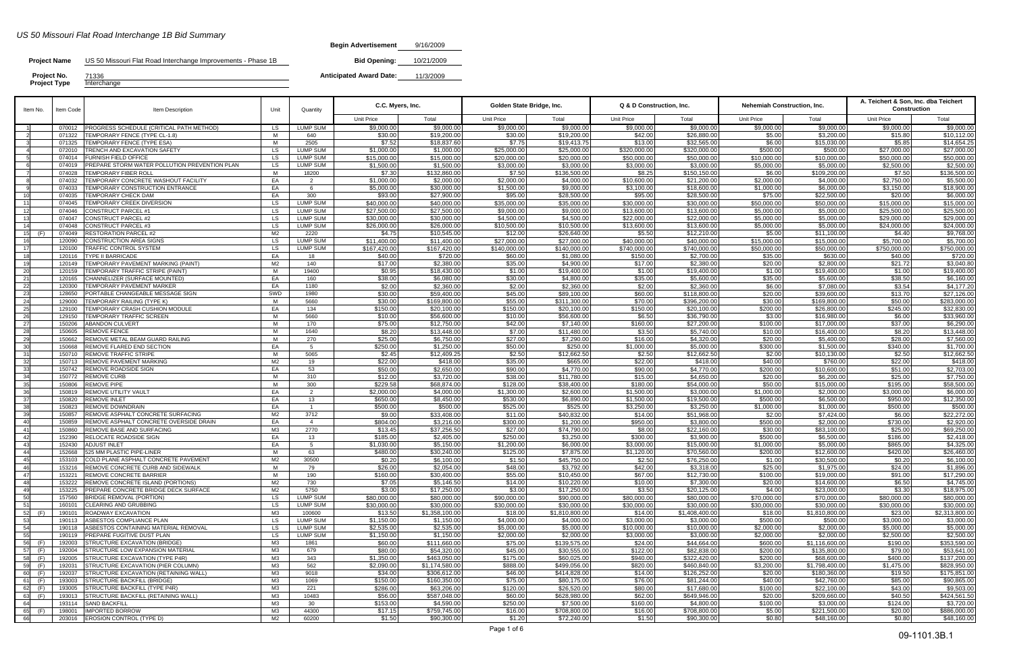## *US 50 Missouri Flat Road Interchange 1B Bid Summary*

| Begin Advertisement | 9/16/2009 |
|---------------------|-----------|
|---------------------|-----------|

| Item No.               | Item Code        | Item Description                                                            | Unit           | Quantity                           | C.C. Myers, Inc.            |                              | Golden State Bridge, Inc.   |                             | Q & D Construction, Inc.    |                             | Nehemiah Construction, Inc. |                             | A. Teichert & Son, Inc. dba Teichert<br><b>Construction</b> |                             |
|------------------------|------------------|-----------------------------------------------------------------------------|----------------|------------------------------------|-----------------------------|------------------------------|-----------------------------|-----------------------------|-----------------------------|-----------------------------|-----------------------------|-----------------------------|-------------------------------------------------------------|-----------------------------|
|                        |                  |                                                                             |                |                                    | <b>Unit Price</b>           | Total                        | <b>Unit Price</b>           | Total                       | <b>Unit Price</b>           | Total                       | Unit Price                  | Total                       | Unit Price                                                  | Total                       |
|                        | 070012           | PROGRESS SCHEDULE (CRITICAL PATH METHOD)                                    | <b>LS</b>      | <b>LUMP SUM</b>                    | \$9,000.00                  | \$9,000.00                   | \$9,000.00                  | \$9,000.00                  | \$9,000.00                  | \$9,000.00                  | \$9,000.00                  | \$9,000.00                  | \$9,000.00                                                  | \$9,000.00                  |
|                        | 071322           | TEMPORARY FENCE (TYPE CL-1.8)                                               | M              | 640                                | \$30.00                     | \$19,200.0                   | \$30.00                     | \$19,200.00                 | \$42.00                     | \$26,880.00                 | \$5.00                      | \$3,200.00                  | \$15.80                                                     | \$10,112.00                 |
|                        | 071325<br>072010 | <b>TEMPORARY FENCE (TYPE ESA)</b><br>TRENCH AND EXCAVATION SAFETY           | M<br><b>LS</b> | 2505<br><b>LUMP SUM</b>            | \$7.52<br>\$1,000.00        | \$18,837.60<br>\$1,000.0     | \$7.75<br>\$25,000.00       | \$19,413.75<br>\$25,000.00  | \$13.00<br>\$320,000.00     | \$32,565.00<br>\$320,000.00 | \$6.00<br>\$500.00          | \$15,030.00<br>\$500.00     | \$5.85<br>\$27,000.00                                       | \$14,654.25<br>\$27,000.00  |
|                        | 074014           | FURNISH FIELD OFFICE                                                        | <b>LS</b>      | <b>LUMP SUM</b>                    | \$15,000.00                 | \$15,000.0                   | \$20,000.00                 | \$20,000.00                 | \$50,000.00                 | \$50,000.00                 | \$10,000.00                 | \$10,000.00                 | \$50,000.00                                                 | \$50,000.00                 |
|                        | 074019           | PREPARE STORM WATER POLLUTION PREVENTION PLAN                               | LS             | <b>LUMP SUM</b>                    | \$1,500.00                  | \$1,500.00                   | \$3,000.00                  | \$3,000.00                  | \$3,000.00                  | \$3,000.00                  | \$5,000.00                  | \$5,000.00                  | \$2,500.00                                                  | \$2,500.00                  |
|                        | 074028           | TEMPORARY FIBER ROLL                                                        | M              | 18200                              | \$7.30                      | \$132,860.00                 | \$7.50                      | \$136,500.00                | \$8.25                      | \$150,150.00                | \$6.00                      | \$109,200.00                | \$7.50                                                      | \$136,500.00                |
|                        | 074032           | TEMPORARY CONCRETE WASHOUT FACILITY                                         | EA             | $\overline{2}$                     | \$1,000.00                  | \$2,000.00                   | \$2,000.00                  | \$4,000.00                  | \$10,600.00                 | \$21,200.00                 | \$2,000.00                  | \$4,000.00                  | \$2,750.00                                                  | \$5,500.00                  |
|                        | 074033           | TEMPORARY CONSTRUCTION ENTRANCE                                             | EA             | 6                                  | \$5,000.00                  | \$30,000.00                  | \$1,500.00                  | \$9,000.00                  | \$3,100.00                  | \$18,600.00                 | \$1,000.00                  | \$6,000.00                  | \$3,150.00                                                  | \$18,900.00                 |
|                        | 074035<br>074045 | TEMPORARY CHECK DAM<br>TEMPORARY CREEK DIVERSION                            | EA<br>LS.      | 300<br><b>LUMP SUM</b>             | \$93.00<br>\$40,000.00      | \$27,900.0<br>\$40,000.00    | \$95.00<br>\$35,000.00      | \$28,500.00<br>\$35,000.00  | \$95.00<br>\$30,000.00      | \$28,500.00<br>\$30,000.00  | \$75.00<br>\$50,000.00      | \$22,500.00<br>\$50,000.00  | \$20.00<br>\$15,000.00                                      | \$6,000.00<br>\$15,000.00   |
|                        | 074046           | <b>CONSTRUCT PARCEL #1</b>                                                  | <b>LS</b>      | <b>LUMP SUM</b>                    | \$27,500.00                 | \$27,500.00                  | \$9,000.00                  | \$9,000.00                  | \$13,600.00                 | \$13,600.00                 | \$5,000.00                  | \$5,000.00                  | \$25,500.00                                                 | \$25,500.00                 |
|                        | 074047           | <b>CONSTRUCT PARCEL #2</b>                                                  | LS             | <b>LUMP SUM</b>                    | \$30,000.00                 | \$30,000.0                   | \$4,500.00                  | \$4,500.00                  | \$22,000.00                 | \$22,000.00                 | \$5,000.00                  | \$5,000.00                  | \$29,000.00                                                 | \$29,000.00                 |
| 14                     | 074048           | <b>CONSTRUCT PARCEL #3</b>                                                  | <b>LS</b>      | <b>LUMP SUM</b>                    | \$26,000.00                 | \$26,000.0                   | \$10,500.00                 | \$10,500.00                 | \$13,600.00                 | \$13,600.00                 | \$5,000.00                  | \$5,000.00                  | \$24,000.00                                                 | \$24,000.00                 |
| (F)<br>15              | 074049           | <b>RESTORATION PARCEL #2</b>                                                | M2             | 2220                               | \$4.75                      | \$10,545.00                  | \$12.00                     | \$26,640.00                 | \$5.50                      | \$12,210.00                 | \$5.00                      | \$11,100.00                 | \$4.40                                                      | \$9,768.00                  |
| - 17                   | 120090<br>120100 | CONSTRUCTION AREA SIGNS<br>TRAFFIC CONTROL SYSTEM                           | LS.<br>LS      | <b>LUMP SUM</b><br><b>LUMP SUM</b> | \$11,400.00<br>\$167,420.00 | \$11,400.0<br>\$167,420.0    | \$27,000.00<br>\$140,000.00 | \$27,000.00<br>\$140,000.00 | \$40,000.00<br>\$740,000.00 | \$40,000.00<br>\$740,000.00 | \$15,000.00<br>\$50,000.00  | \$15,000.00<br>\$50,000.00  | \$5,700.00<br>\$750,000.00                                  | \$5,700.00<br>\$750,000.00  |
|                        | 120116           | <b>TYPE II BARRICADE</b>                                                    | EA             | 18                                 | \$40.00                     | \$720.00                     | \$60.00                     | \$1,080.00                  | \$150.00                    | \$2,700.00                  | \$35.00                     | \$630.00                    | \$40.00                                                     | \$720.00                    |
|                        | 120149           | TEMPORARY PAVEMENT MARKING (PAINT)                                          | M <sub>2</sub> | 140                                | \$17.00                     | \$2,380.00                   | \$35.00                     | \$4,900.00                  | \$17.00                     | \$2,380.00                  | \$20.00                     | \$2,800.00                  | \$21.72                                                     | \$3,040.80                  |
| - 20                   | 120159           | TEMPORARY TRAFFIC STRIPE (PAINT)                                            | M              | 19400                              | \$0.95                      | \$18,430.00                  | \$1.00                      | \$19,400.00                 | \$1.00                      | \$19,400.00                 | \$1.00                      | \$19,400.00                 | \$1.00                                                      | \$19,400.00                 |
| 21                     | 120165           | CHANNELIZER (SURFACE MOUNTED)                                               | EA             | 160                                | \$38.00                     | \$6,080.00                   | \$30.00                     | \$4,800.00                  | \$35.00                     | \$5,600.00                  | \$35.00                     | \$5,600.00                  | \$38.50                                                     | \$6,160.00                  |
| 22<br>23               | 120300<br>128650 | TEMPORARY PAVEMENT MARKER<br>PORTABLE CHANGEABLE MESSAGE SIGN               | EA<br>SWD      | 1180<br>1980                       | \$2.00<br>\$30.00           | \$2,360.00<br>\$59,400.0     | \$2.00<br>\$45.00           | \$2,360.00<br>\$89,100.00   | \$2.00<br>\$60.00           | \$2,360.00<br>\$118,800.00  | \$6.00<br>\$20.00           | \$7,080.00<br>\$39,600.00   | \$3.54<br>\$13.70                                           | \$4,177.20<br>\$27,126.00   |
| 24                     | 129000           | TEMPORARY RAILING (TYPE K)                                                  | M              | 5660                               | \$30.00                     | \$169,800.0                  | \$55.00                     | \$311,300.00                | \$70.00                     | \$396,200.00                | \$30.00                     | \$169,800.00                | \$50.00                                                     | \$283,000.00                |
| 25                     | 129100           | <b>TEMPORARY CRASH CUSHION MODULE</b>                                       | EA             | 134                                | \$150.00                    | \$20,100.0                   | \$150.00                    | \$20,100.00                 | \$150.00                    | \$20,100.00                 | \$200.00                    | \$26,800.00                 | \$245.00                                                    | \$32,830.00                 |
|                        | 129150           | <b>TEMPORARY TRAFFIC SCREEN</b>                                             | M              | 5660                               | \$10.00                     | \$56,600.0                   | \$10.00                     | \$56,600.00                 | \$6.50                      | \$36,790.00                 | \$3.00                      | \$16,980.00                 | \$6.00                                                      | \$33,960.00                 |
|                        | 150206           | <b>ABANDON CULVERT</b>                                                      | M              | 170                                | \$75.00                     | \$12,750.0                   | \$42.00                     | \$7,140.00                  | \$160.00                    | \$27,200.00                 | \$100.00                    | \$17,000.00                 | \$37.00                                                     | \$6,290.00                  |
|                        | 150605           | REMOVE FENCE                                                                | M              | 1640                               | \$8.20                      | \$13,448.0                   | \$7.00                      | \$11,480.00                 | \$3.50                      | \$5,740.00                  | \$10.00                     | \$16,400.00                 | \$8.20                                                      | \$13,448.00                 |
|                        | 150662<br>150668 | REMOVE METAL BEAM GUARD RAILING<br>REMOVE FLARED END SECTION                | M<br>EA        | 270<br>5                           | \$25.00<br>\$250.00         | \$6,750.00<br>\$1,250.00     | \$27.00<br>\$50.00          | \$7,290.00<br>\$250.00      | \$16.00<br>\$1,000.00       | \$4,320.00<br>\$5,000.00    | \$20.00<br>\$300.00         | \$5,400.00<br>\$1,500.00    | \$28.00<br>\$340.00                                         | \$7,560.00<br>\$1,700.00    |
| -31                    | 150710           | <b>REMOVE TRAFFIC STRIPE</b>                                                | M              | 5065                               | \$2.45                      | \$12,409.25                  | \$2.50                      | \$12,662.50                 | \$2.50                      | \$12,662.50                 | \$2.00                      | \$10,130.00                 | \$2.50                                                      | \$12,662.50                 |
|                        | 150713           | REMOVE PAVEMENT MARKING                                                     | M2             | 19                                 | \$22.00                     | \$418.00                     | \$35.00                     | \$665.00                    | \$22.00                     | \$418.00                    | \$40.00                     | \$760.00                    | \$22.00                                                     | \$418.00                    |
| 33                     | 150742           | REMOVE ROADSIDE SIGN                                                        | EA             | 53                                 | \$50.00                     | \$2,650.00                   | \$90.00                     | \$4,770.00                  | \$90.00                     | \$4,770.00                  | \$200.00                    | \$10,600.00                 | \$51.00                                                     | \$2,703.00                  |
| 34                     | 150772           | <b>REMOVE CURB</b>                                                          | M              | 310                                | \$12.00                     | \$3,720.00                   | \$38.00                     | \$11,780.00                 | \$15.00                     | \$4,650.00                  | \$20.00                     | \$6,200.00                  | \$25.00                                                     | \$7,750.00                  |
| 35<br>-36              | 150806<br>150819 | <b>REMOVE PIPE</b><br>REMOVE UTILITY VAULT                                  | M<br>EA        | 300<br>2                           | \$229.58<br>\$2,000.00      | \$68,874.00<br>\$4,000.00    | \$128.00<br>\$1,300.00      | \$38,400.00<br>\$2,600.00   | \$180.00<br>\$1,500.00      | \$54,000.00<br>\$3,000.00   | \$50.00<br>\$1,000.00       | \$15,000.00<br>\$2,000.00   | \$195.00<br>\$3,000.00                                      | \$58,500.00<br>\$6,000.00   |
| - 37                   | 150820           | <b>REMOVE INLET</b>                                                         | EA             | 13                                 | \$650.00                    | \$8,450.00                   | \$530.00                    | \$6,890.00                  | \$1,500.00                  | \$19,500.00                 | \$500.00                    | \$6,500.00                  | \$950.00                                                    | \$12,350.00                 |
| 38                     | 150823           | REMOVE DOWNDRAIN                                                            | EA             | $\overline{1}$                     | \$500.00                    | \$500.0                      | \$525.00                    | \$525.00                    | \$3,250.00                  | \$3,250.00                  | \$1,000.00                  | \$1,000.00                  | \$500.00                                                    | \$500.00                    |
| 39                     | 150857           | REMOVE ASPHALT CONCRETE SURFACING                                           | M2             | 3712                               | \$9.00                      | \$33,408.00                  | \$11.00                     | \$40,832.00                 | \$14.00                     | \$51,968.00                 | \$2.00                      | \$7,424.00                  | \$6.00                                                      | \$22,272.00                 |
| 40                     | 150859           | REMOVE ASPHALT CONCRETE OVERSIDE DRAIN                                      | EA             | $\overline{4}$                     | \$804.00                    | \$3,216.0                    | \$300.00                    | \$1,200.00                  | \$950.00                    | \$3,800.00                  | \$500.00                    | \$2,000.00                  | \$730.00                                                    | \$2,920.00                  |
| 41<br>-42              | 150860<br>152390 | REMOVE BASE AND SURFACING<br>RELOCATE ROADSIDE SIGN                         | M3<br>EA       | 2770<br>13                         | \$13.45<br>\$185.00         | \$37,256.50<br>\$2,405.0     | \$27.00<br>\$250.00         | \$74,790.00<br>\$3,250.00   | \$8.00<br>\$300.00          | \$22,160.00<br>\$3,900.00   | \$30.00<br>\$500.00         | \$83,100.00<br>\$6,500.00   | \$25.00<br>\$186.00                                         | \$69,250.00<br>\$2,418.00   |
| 43                     | 152430           | <b>ADJUST INLET</b>                                                         | EA             | 5 <sup>5</sup>                     | \$1,030.00                  | \$5,150.0                    | \$1,200.00                  | \$6,000.00                  | \$3,000.00                  | \$15,000.00                 | \$1,000.00                  | \$5,000.00                  | \$865.00                                                    | \$4,325.00                  |
| 44                     | 152668           | 525 MM PLASTIC PIPE-LINER                                                   | M              | 63                                 | \$480.00                    | \$30,240.00                  | \$125.00                    | \$7,875.00                  | \$1,120.00                  | \$70,560.00                 | \$200.00                    | \$12,600.00                 | \$420.00                                                    | \$26,460.00                 |
| 45                     | 153103           | COLD PLANE ASPHALT CONCRETE PAVEMENT                                        | M2             | 30500                              | \$0.20                      | \$6,100.00                   | \$1.50                      | \$45,750.00                 | \$2.50                      | \$76,250.00                 | \$1.00                      | \$30,500.00                 | \$0.20                                                      | \$6,100.00                  |
|                        |                  | 153216 REMOVE CONCRETE CURB AND SIDEWALK                                    | M              | 79                                 | \$26.00                     | \$2,054.00                   | \$48.00                     | \$3,792.00                  | \$42.00                     | \$3,318.00                  | \$25.00                     | \$1,975.00                  | \$24.00                                                     | \$1,896.00                  |
| 47<br>48               | 153221<br>153222 | <b>REMOVE CONCRETE BARRIER</b><br><b>REMOVE CONCRETE ISLAND (PORTIONS)</b>  | M<br>M2        | 190<br>730                         | \$160.00<br>\$7.05          | \$30,400.00<br>\$5,146.50    | \$55.00<br>\$14.00          | \$10,450.00<br>\$10,220.00  | \$67.00<br>\$10.00          | \$12,730.00<br>\$7,300.00   | \$100.00<br>\$20.00         | \$19,000.00<br>\$14,600.00  | \$91.00<br>\$6.50                                           | \$17,290.00<br>\$4.745.00   |
| 49                     | 153225           | <b>IPREPARE CONCRETE BRIDGE DECK SURFACE</b>                                | M2             | 5750                               | \$3.00                      | \$17,250.00                  | \$3.00                      | \$17,250.00                 | \$3.50                      | \$20,125.00                 | \$4.00                      | \$23,000.00                 | \$3.30                                                      | \$18,975.00                 |
| 50                     | 157560           | <b>BRIDGE REMOVAL (PORTION)</b>                                             | LS             | <b>LUMP SUM</b>                    | \$80,000.00                 | \$80,000.00                  | \$90,000.00                 | \$90,000.00                 | \$80,000.00                 | \$80,000.00                 | \$70,000.00                 | \$70,000.00                 | \$80,000.00                                                 | \$80,000.00                 |
| 51                     | 160101           | <b>CLEARING AND GRUBBING</b>                                                | LS             | <b>LUMP SUM</b>                    | \$30,000.00                 | \$30,000.00                  | \$30,000.00                 | \$30,000.00                 | \$30,000.00                 | \$30,000.00                 | \$30,000.00                 | \$30,000.00                 | \$30,000.00                                                 | \$30,000.00                 |
| (F)                    | 190101           | ROADWAY EXCAVATION                                                          | МЗ             | 100600                             | \$13.50                     | \$1,358,100.00               | \$18.00                     | \$1,810,800.00              | \$14.00                     | \$1,408,400.00              | \$18.00                     | \$1,810,800.00              | \$23.00                                                     | \$2,313,800.00              |
|                        | 190113           | ASBESTOS COMPLIANCE PLAN                                                    | LS             | <b>LUMP SUM</b>                    | \$1,150.00                  | \$1,150.00                   | \$4,000.00                  | \$4,000.00                  | \$3,000.00                  | \$3,000.00                  | \$500.00                    | \$500.00                    | \$3,000.00                                                  | \$3,000.00                  |
| 54                     | 190118<br>190119 | ASBESTOS CONTAINING MATERIAL REMOVAL<br><b>PREPARE FUGITIVE DUST PLAN</b>   | LS<br>LS       | <b>LUMP SUM</b><br>LUMP SUM        | \$2,535.00<br>\$1,150.00    | \$2,535.00<br>\$1,150.00     | \$5,000.00<br>\$2,000.00    | \$5,000.00<br>\$2,000.00    | \$10,000.00<br>\$3,000.00   | \$10,000.00<br>\$3,000.00   | \$2,000.00<br>\$2,000.00    | \$2,000.00<br>\$2,000.00    | \$5,000.00<br>\$2,500.00                                    | \$5,000.00<br>\$2,500.00    |
| 56<br>(F)              | 192003           | <b>STRUCTURE EXCAVATION (BRIDGE)</b>                                        | ΜЗ             | 1861                               | \$60.00                     | \$111,660.00                 | \$75.00                     | \$139,575.00                | \$24.00                     | \$44,664.00                 | \$600.00                    | \$1,116,600.00              | \$190.00                                                    | \$353,590.00                |
| (F)<br>57              | 192004           | <b>STRUCTURE LOW EXPANSION MATERIAL</b>                                     | МЗ             | 679                                | \$80.00                     | \$54,320.00                  | \$45.00                     | \$30,555.00                 | \$122.00                    | \$82,838.00                 | \$200.00                    | \$135,800.00                | \$79.00                                                     | \$53,641.00                 |
| (F)<br>58              | 192005           | STRUCTURE EXCAVATION (TYPE P4R)                                             | МЗ             | 343                                | \$1,350.00                  | \$463,050.00                 | \$175.00                    | \$60,025.00                 | \$940.00                    | \$322,420.00                | \$200.00                    | \$68,600.00                 | \$400.00]                                                   | \$137,200.00                |
| (F)                    | 192031           | STRUCTURE EXCAVATION (PIER COLUMN)                                          | МЗ             | 562                                | \$2,090.00                  | \$1.174.580.00               | \$888.00                    | \$499,056.00                | \$820.00                    | \$460,840.00                | \$3,200.00                  | \$1,798,400.00              | \$1,475.00                                                  | \$828,950.00                |
| (F)<br>60<br>(F)<br>61 | 192037<br>193003 | STRUCTURE EXCAVATION (RETAINING WALL)<br><b>STRUCTURE BACKFILL (BRIDGE)</b> | МЗ<br>МЗ       | 9018<br>1069                       | \$34.00<br>\$150.00         | \$306,612.00<br>\$160,350.00 | \$46.00<br>\$75.00          | \$414,828.00<br>\$80,175.00 | \$14.00<br>\$76.00          | \$126,252.00<br>\$81,244.00 | \$20.00<br>\$40.00          | \$180,360.00<br>\$42,760.00 | \$19.50<br>\$85.00                                          | \$175,851.00<br>\$90,865.00 |
| (F)<br>62              | 193005           | STRUCTURE BACKFILL (TYPE P4R)                                               | ΜЗ             | 221                                | \$286.00                    | \$63,206.00                  | \$120.00                    | \$26,520.00                 | \$80.00                     | \$17,680.00                 | \$100.00                    | \$22,100.00                 | \$43.00                                                     | \$9,503.00                  |
| (F)<br>63              | 193013           | STRUCTURE BACKFILL (RETAINING WALL)                                         | M3             | 10483                              | \$56.00                     | \$587,048.00                 | \$60.00                     | \$628,980.00                | \$62.00                     | \$649,946.00                | \$20.00                     | \$209,660.00                | \$40.50                                                     | \$424,561.50                |
| 64                     | 193114           | <b>SAND BACKFILL</b>                                                        | ΜЗ             | 30                                 | \$153.00                    | \$4,590.00                   | \$250.00                    | \$7,500.00                  | \$160.00                    | \$4,800.00                  | \$100.00                    | \$3,000.00                  | \$124.00                                                    | \$3,720.00                  |
| 65<br>(F)              | 198001           | <b>IMPORTED BORROW</b>                                                      | МЗ             | 44300                              | \$17.15                     | \$759,745.00                 | \$16.00                     | \$708,800.00                | \$16.00                     | \$708,800.00                | \$5.00                      | \$221,500.00                | \$20.00                                                     | \$886,000.00                |
| 66                     | 203016           | <b>EROSION CONTROL (TYPE D)</b>                                             | M2             | 60200                              | \$1.50                      | \$90,300.00                  | \$1.20                      | \$72,240.00                 | \$1.50                      | \$90,300.00                 | \$0.80                      | \$48,160.00                 | \$0.80                                                      | \$48,160.00                 |

**Project Type** Interchange **Project No.** 71336

## **Project Name** US 50 Missouri Flat Road Interchange Improvements - Phase 1B

**Bid Opening:** 10/21/2009

**Anticipated Award Date:** 11/3/2009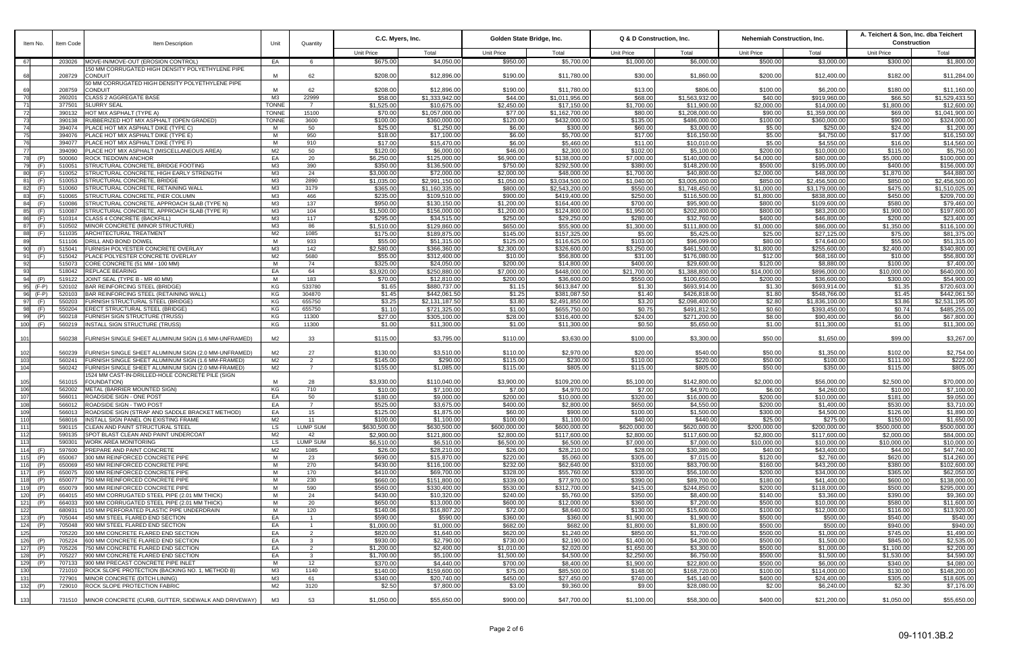| Item No.                 | Item Code        | Item Description                                                        | Unit                         | Quantity                         |                        | C.C. Myers, Inc.              |                        | Golden State Bridge, Inc.      |                        | Q & D Construction, Inc.       | <b>Nehemiah Construction, Inc.</b> |                                | A. Teichert & Son, Inc. dba Teichert<br>Construction |                                      |
|--------------------------|------------------|-------------------------------------------------------------------------|------------------------------|----------------------------------|------------------------|-------------------------------|------------------------|--------------------------------|------------------------|--------------------------------|------------------------------------|--------------------------------|------------------------------------------------------|--------------------------------------|
|                          |                  |                                                                         |                              |                                  | <b>Unit Price</b>      | Total                         | <b>Unit Price</b>      | Total                          | <b>Unit Price</b>      | Total                          | <b>Unit Price</b>                  | Total                          | Unit Price                                           | Total                                |
| 671                      | 203026           | MOVE-IN/MOVE-OUT (EROSION CONTROL)                                      | EA                           | 6                                | \$675.00               | \$4,050.00                    | \$950.00               | \$5,700.00                     | \$1,000.00             | \$6,000.00                     | \$500.00                           | \$3,000.00                     | \$300.00                                             | \$1,800.00                           |
|                          | 208729           | 150 MM CORRUGATED HIGH DENSITY POLYETHYLENE PIPE<br><b>CONDUIT</b>      | M                            | 62                               | \$208.00               | \$12,896.00                   | \$190.00               | \$11,780.00                    | \$30.00                | \$1,860.00                     | \$200.00                           | \$12,400.00                    | \$182.00                                             | \$11,284.00                          |
|                          |                  | 50 MM CORRUGATED HIGH DENSITY POLYETHYLENE PIPE                         |                              |                                  |                        |                               |                        |                                |                        |                                |                                    |                                |                                                      |                                      |
| 69                       | 208759           | <b>CONDUIT</b>                                                          | M                            | 62                               | \$208.00               | \$12,896.00                   | \$190.00               | \$11,780.00                    | \$13.00                | \$806.00                       | \$100.00                           | \$6,200.00                     | \$180.00                                             | \$11,160.00                          |
| 70                       | 260201           | <b>CLASS 2 AGGREGATE BASE</b>                                           | M3                           | 22999                            | \$58.00                | \$1,333,942.00                | \$44.00                | \$1,011,956.00                 | \$68.00                | \$1,563,932.00                 | \$40.00                            | \$919,960.00                   | \$66.50                                              | \$1,529,433.50                       |
| 71                       | 377501<br>390132 | <b>SLURRY SEAL</b><br>HOT MIX ASPHALT (TYPE A)                          | <b>TONNE</b><br><b>TONNE</b> | $\overline{7}$<br>15100          | \$1,525.00             | \$10,675.00                   | \$2,450.00             | \$17,150.00                    | \$1,700.00             | \$11,900.00                    | \$2,000.00                         | \$14,000.00                    | \$1,800.00                                           | \$12,600.00                          |
| 72<br>73                 | 390138           | RUBBERIZED HOT MIX ASPHALT (OPEN GRADED)                                | <b>TONNE</b>                 | 3600                             | \$70.00<br>\$100.00    | \$1,057,000.0<br>\$360,000.0  | \$77.00<br>\$120.00    | \$1,162,700.00<br>\$432,000.00 | \$80.00<br>\$135.00    | \$1,208,000.00<br>\$486,000.00 | \$90.00<br>\$100.00                | \$1,359,000.00<br>\$360,000.00 | \$69.00<br>\$90.00                                   | \$1,041,900.00<br>\$324,000.00       |
| 74                       | 394074           | <b>PLACE HOT MIX ASPHALT DIKE (TYPE C)</b>                              | M                            | 50                               | \$25.00                | \$1,250.00                    | \$6.00                 | \$300.00                       | \$60.00                | \$3,000.00                     | \$5.00                             | \$250.00                       | \$24.00                                              | \$1,200.00                           |
| 75                       | 394076           | PLACE HOT MIX ASPHALT DIKE (TYPE E)                                     | M                            | 950                              | \$18.00                | \$17,100.0                    | \$6.00                 | \$5,700.00                     | \$17.00                | \$16,150.00                    | \$5.00                             | \$4,750.00                     | \$17.00                                              | \$16,150.00                          |
| 76                       | 394077           | <b>PLACE HOT MIX ASPHALT DIKE (TYPE F)</b>                              | M                            | 910                              | \$17.00                | \$15,470.00                   | \$6.00                 | \$5,460.00                     | \$11.00                | \$10,010.00                    | \$5.00                             | \$4,550.00                     | \$16.00                                              | \$14,560.00                          |
|                          | 394090           | PLACE HOT MIX ASPHALT (MISCELLANEOUS AREA)                              | M <sub>2</sub>               | 50                               | \$120.00               | \$6,000.00                    | \$46.00                | \$2,300.00                     | \$102.00               | \$5,100.00                     | \$200.00                           | \$10,000.00                    | \$115.00                                             | \$5,750.00                           |
| 78                       | 500060           | ROCK TIEDOWN ANCHOR                                                     | EA                           | 20                               | \$6,250.00             | \$125,000.0                   | \$6,900.0              | \$138,000.00                   | \$7,000.00             | \$140,000.00                   | \$4,000.00                         | \$80,000.00                    | \$5,000.00                                           | \$100,000.00                         |
|                          | 510051           | STRUCTURAL CONCRETE, BRIDGE FOOTING                                     | МЗ                           | 390                              | \$350.00               | \$136,500.0                   | \$750.00               | \$292,500.0                    | \$380.00               | \$148,200.00                   | \$500.00                           | \$195,000.00                   | \$400.00                                             | \$156,000.00                         |
| 80<br>(F)<br>81<br>(F)   | 510052<br>510053 | STRUCTURAL CONCRETE, HIGH EARLY STRENGTH<br>STRUCTURAL CONCRETE, BRIDGE | МЗ<br>M3                     | 24<br>2890                       | \$3,000.00             | \$72,000.00<br>\$2,991,150.00 | \$2,000.00             | \$48,000.00<br>\$3,034,500.00  | \$1,700.00             | \$40,800.00<br>\$3,005,600.00  | \$2,000.00<br>\$850.00             | \$48,000.00<br>\$2,456,500.00  | \$1,870.00<br>\$850.00                               | \$44,880.00<br>\$2,456,500.00        |
| 82<br>(F)                | 510060           | STRUCTURAL CONCRETE, RETAINING WALL                                     | МЗ                           | 3179                             | \$1,035.00<br>\$365.00 | \$1,160,335.00                | \$1,050.00<br>\$800.00 | \$2,543,200.00                 | \$1,040.00<br>\$550.00 | \$1,748,450.00                 | \$1,000.00                         | \$3,179,000.00                 | \$475.00                                             | \$1,510,025.00                       |
| 83<br>(F)                | 510065           | STRUCTURAL CONCRETE. PIER COLUMN                                        | M3                           | 466                              | \$235.00               | \$109,510.00                  | \$900.00               | \$419,400.00                   | \$250.00               | \$116,500.00                   | \$1,800.00                         | \$838,800.00                   | \$450.00                                             | \$209,700.00                         |
| 84<br>(F)                | 510086           | STRUCTURAL CONCRETE, APPROACH SLAB (TYPE N)                             | МЗ                           | 137                              | \$950.00               | \$130,150.00                  | \$1,200.00             | \$164,400.00                   | \$700.00               | \$95,900.00                    | \$800.00                           | \$109,600.00                   | \$580.00                                             | \$79,460.00                          |
| 85<br>(F)                | 510087           | STRUCTURAL CONCRETE, APPROACH SLAB (TYPE R)                             | МЗ                           | 104                              | \$1,500.00             | \$156,000.00                  | \$1,200.00             | \$124,800.00                   | \$1,950.00             | \$202.800.00                   | \$800.00                           | \$83,200,00                    | \$1.900.00                                           | \$197,600.00                         |
| 86<br>(F)                | 510314           | <b>CLASS 4 CONCRETE (BACKFILL)</b>                                      | МЗ                           | 117                              | \$295.00               | \$34,515.00                   | \$250.00               | \$29,250.00                    | \$280.00               | \$32,760.00                    | \$400.00                           | \$46,800.00                    | \$200.00                                             | \$23,400.00                          |
| 87<br>(F)                | 510502           | MINOR CONCRETE (MINOR STRUCTURE)                                        | МЗ                           | 86                               | \$1,510.00             | \$129,860.00                  | \$650.00               | \$55,900.00                    | \$1,300.00             | \$111,800.00                   | \$1,000.00                         | \$86,000.00                    | \$1,350.00                                           | \$116,100.00                         |
| 88<br>(F)                | 511035           | ARCHITECTURAL TREATMENT                                                 | M2                           | 1085                             | \$175.00               | \$189,875.00                  | \$145.00               | \$157,325.00                   | \$5.00                 | \$5,425.00                     | \$25.00                            | \$27,125.00                    | \$75.00                                              | \$81,375.00                          |
| 89                       | 511106           | DRILL AND BOND DOWEL                                                    | M                            | 933                              | \$55.00                | \$51,315.00                   | \$125.00               | \$116,625.00                   | \$103.00               | \$96,099.00                    | \$80.00                            | \$74,640.00                    | \$55.00                                              | \$51,315.00                          |
| 90<br>(F)<br>-911<br>(F) | 515041<br>515042 | FURNISH POLYESTER CONCRETE OVERLAY<br>PLACE POLYESTER CONCRETE OVERLAY  | МЗ<br>M <sub>2</sub>         | 142<br>5680                      | \$2,580.00<br>\$55.00  | \$366,360.00<br>\$312,400.0   | \$2,300.00<br>\$10.00  | \$326,600.00<br>\$56,800.0     | \$3,250.00<br>\$31.00  | \$461,500.00<br>\$176,080.00   | \$1,800.00<br>\$12.00              | \$255,600.00<br>\$68,160.00    | \$2,400.00<br>\$10.00                                | \$340,800.00<br>\$56,800.00          |
| 92                       | 515073           | CORE CONCRETE (51 MM - 100 MM                                           | M                            | 74                               | \$325.00               | \$24,050.00                   | \$200.00               | \$14,800.00                    | \$400.00               | \$29,600.00                    | \$120.00                           | \$8,880.00                     | \$100.00                                             | \$7,400.00                           |
| 93                       | 518042           | <b>REPLACE BEARING</b>                                                  | EA                           | 64                               | \$3,920.00             | \$250,880.00                  | \$7,000.00             | \$448,000.00                   | \$21,700.00            | \$1,388,800.00                 | \$14,000.00                        | \$896,000.00                   | \$10,000.00                                          | \$640,000.00                         |
| 94<br>(P)                | 519122           | JOINT SEAL (TYPE B - MR 40 MM)                                          | M                            | 183                              | \$70.00                | \$12,810.00                   | \$200.00               | \$36,600.00                    | \$550.00               | \$100,650.00                   | \$200.00                           | \$36,600.00                    | \$300.00                                             | \$54,900.00                          |
| 95<br>$(F-P)$            | 520102           | BAR REINFORCING STEEL (BRIDGE)                                          | KG                           | 533780                           | \$1.65                 | \$880,737.00                  | \$1.15                 | \$613,847.00                   | \$1.30                 | \$693,914.00                   | \$1.30                             | \$693,914.00                   | \$1.35                                               | \$720,603.00                         |
| 96<br>$(F-P)$            | 520103           | BAR REINFORCING STEEL (RETAINING WALL)                                  | KG                           | 304870                           | \$1.45                 | \$442,061.50                  | \$1.25                 | \$381,087.50                   | \$1.40                 | \$426,818.00                   | \$1.80                             | \$548,766.00                   | \$1.45                                               | \$442,061.50                         |
| 97<br>(F)                | 550203           | FURNISH STRUCTURAL STEEL (BRIDGE                                        | KG                           | 655750                           | \$3.25                 | \$2,131,187.50                | \$3.80                 | \$2,491,850.00                 | \$3.20                 | \$2,098,400.00                 | \$2.80                             | \$1,836,100.00                 | \$3.86                                               | \$2,531,195.00                       |
| 98<br>(F)                | 550204           | <b>ERECT STRUCTURAL STEEL (BRIDGE)</b>                                  | KG                           | 655750                           | \$1.10                 | \$721,325.00                  | \$1.00                 | \$655,750.00                   | \$0.75                 | \$491,812.50                   | \$0.60                             | \$393,450.00                   | \$0.74                                               | \$485,255.00                         |
| 99<br>100<br>(F)         | 560218<br>560219 | FURNISH SIGN STRUCTURE (TRUSS)<br><b>INSTALL SIGN STRUCTURE (TRUSS)</b> | KG<br>KG                     | 11300<br>11300                   | \$27.00<br>\$1.00      | \$305.100.00<br>\$11,300.00   | \$28.00<br>\$1.00      | \$316,400.00<br>\$11,300.00    | \$24.00<br>\$0.50      | \$271,200.00<br>\$5,650.00     | \$8.00<br>\$1.00                   | \$90,400.00<br>\$11,300.00     | \$6.00<br>\$1.00                                     | \$67,800.00<br>\$11,300.00           |
|                          |                  |                                                                         |                              |                                  |                        |                               |                        |                                |                        |                                |                                    |                                |                                                      |                                      |
| 101                      | 560238           | FURNISH SINGLE SHEET ALUMINUM SIGN (1.6 MM-UNFRAMED)                    | M <sub>2</sub>               | 33                               | \$115.00               | \$3,795.00                    | \$110.00               | \$3,630.00                     | \$100.00               | \$3,300.00                     | \$50.00                            | \$1,650.00                     | \$99.00                                              | \$3,267.00                           |
| 102                      | 560239           | FURNISH SINGLE SHEET ALUMINUM SIGN (2.0 MM-UNFRAMED)                    | M2                           | 27                               | \$130.00               | \$3,510.00                    | \$110.00               | \$2,970.00                     | \$20.00                | \$540.00                       | \$50.00                            | \$1,350.00                     | \$102.00                                             | \$2,754.00                           |
| 103                      | 560241           | FURNISH SINGLE SHEET ALUMINUM SIGN (1.6 MM-FRAMED)                      | M2                           | $\overline{2}$                   | \$145.00               | \$290.00                      | \$115.00               | \$230.00                       | \$110.00               | \$220.00                       | \$50.00                            | \$100.00                       | \$111.00                                             | \$222.00                             |
| 104                      | 560242           | FURNISH SINGLE SHEET ALUMINUM SIGN (2.0 MM-FRAMED)                      | M2                           | $\overline{7}$                   | \$155.00               | \$1,085.00                    | \$115.00               | \$805.00                       | \$115.00               | \$805.00                       | \$50.00                            | \$350.00                       | \$115.00                                             | \$805.00                             |
|                          |                  | 524 MM CAST-IN-DRILLED-HOLE CONCRETE PILE (SIGN                         |                              |                                  |                        |                               |                        |                                |                        |                                |                                    |                                |                                                      |                                      |
| 105                      | 561015           | <b>FOUNDATION)</b>                                                      | M<br>KG                      | 28                               | \$3,930.00             | \$110,040.00                  | \$3,900.00             | \$109,200.00                   | \$5,100.00             | \$142,800.00                   | \$2,000.00                         | \$56,000.00                    | \$2,500.00                                           | \$70,000.00                          |
| 106<br>107               | 562002<br>566011 | METAL (BARRIER MOUNTED SIGN)<br><b>ROADSIDE SIGN - ONE POST</b>         | EA                           | 710<br>50                        | \$10.00<br>\$180.00    | \$7,100.00<br>\$9,000.00      | \$7.00<br>\$200.00     | \$4,970.00<br>\$10,000.00      | \$7.00<br>\$320.00     | \$4,970.00<br>\$16,000.00      | \$6.00<br>\$200.00                 | \$4,260.00<br>\$10,000.00      | \$10.00<br>\$181.00                                  | $\overline{$}7,100.00$<br>\$9,050.00 |
| 108                      |                  | 566012 ROADSIDE SIGN - TWO POST                                         | EA                           | $\overline{7}$                   | \$525.00               | \$3,675.00                    | \$400.00               | \$2,800.00                     | \$650.00               | \$4,550.00                     | \$200.00                           | \$1,400.00                     | \$530.00                                             | \$3,710.00                           |
| 109                      | 566013           | ROADSIDE SIGN (STRAP AND SADDLE BRACKET METHOD)                         | EA                           | 15                               | \$125.00               | \$1,875.00                    | \$60.00                | \$900.00                       | \$100.00               | \$1.500.00                     | \$300.00                           | \$4,500.00                     | \$126.00                                             | \$1.890.00                           |
| 110                      | 568016           | <b>INSTALL SIGN PANEL ON EXISTING FRAME</b>                             | M2                           | 11                               | \$100.00               | \$1,100.00                    | \$100.00               | \$1,100.00                     | \$40.00                | \$440.00                       | \$25.00                            | \$275.00                       | \$150.00                                             | \$1.650.00                           |
| 111                      | 590115           | CLEAN AND PAINT STRUCTURAL STEEL                                        | <b>LS</b>                    | LUMP SUM                         | \$630,500.00           | \$630,500.00                  | \$600,000,00           | \$600,000.00                   | \$620,000.00           | \$620,000.00                   | \$200,000.00                       | \$200,000.00                   | \$500,000,00                                         | \$500.000.00                         |
| 112                      | 590135           | SPOT BLAST CLEAN AND PAINT UNDERCOAT                                    | M2                           | 42                               | \$2,900.00             | \$121,800.00                  | \$2,800.00             | \$117,600.00                   | \$2,800.00             | \$117,600.00                   | \$2,800.00                         | \$117,600.00                   | \$2,000.00                                           | \$84.000.00                          |
| 113                      | 590301           | <b>WORK AREA MONITORING</b>                                             | LS                           | <b>LUMP SUM</b>                  | \$6,510.00             | \$6,510.00                    | \$6,500.00             | \$6,500.00                     | \$7,000.00             | \$7,000.00                     | \$10,000.00                        | \$10,000.00                    | \$10,000.00                                          | \$10,000.00                          |
| 114<br>(F)<br>115<br>(P) | 597600<br>650067 | <b>PREPARE AND PAINT CONCRETE</b><br>300 MM REINFORCED CONCRETE PIPE    | M2<br>M                      | 1085<br>23                       | \$26.00<br>\$690.00    | \$28,210.00<br>\$15,870.00    | \$26.00<br>\$220.00    | \$28,210.00<br>\$5,060.00      | \$28.00<br>\$305.00    | \$30,380.00<br>\$7,015.00      | \$40.00<br>\$120.00                | \$43,400.00<br>\$2,760.00      | \$44.00<br>\$620.00                                  | \$47,740.00<br>\$14,260.00           |
| 116<br>(P)               | 650069           | 450 MM REINFORCED CONCRETE PIPE                                         | M                            | 270                              | \$430.00               | \$116,100.00                  | \$232.00               | \$62,640.00                    | \$310.00               | \$83,700.00                    | \$160.00                           | \$43,200.00                    | \$380.00                                             | \$102,600.00                         |
| 117<br>(P)               | 650075           | 600 MM REINFORCED CONCRETE PIPE                                         | M                            | 170                              | \$410.00               | \$69,700.00                   | \$328.00               | \$55,760.00                    | \$330.00               | \$56,100.00                    | \$200.00                           | \$34,000.00                    | \$365.00                                             | \$62,050.00                          |
| 118<br>(P)               | 650077           | 750 MM REINFORCED CONCRETE PIPE                                         | M                            | 230                              | \$660.00               | \$151,800.00                  | \$339.00               | \$77,970.00                    | \$390.00               | \$89.700.00                    | \$180.00                           | \$41,400.00                    | \$600.00                                             | \$138,000.00                         |
| 119<br>(P)               | 650079           | 900 MM REINFORCED CONCRETE PIPE                                         | M                            | 590                              | \$560.00               | \$330,400.00                  | \$530.00               | \$312,700.00                   | \$415.00               | \$244,850.00                   | \$200.00                           | \$118,000.00                   | \$500.00                                             | \$295,000.00                         |
| 120<br>(P)               | 664015           | 450 MM CORRUGATED STEEL PIPE (2.01 MM THICK)                            | M                            | 24                               | \$430.00               | \$10,320.00                   | \$240.00               | \$5.760.00                     | \$350.00               | \$8,400.00                     | \$140.00                           | \$3,360.00                     | \$390.00                                             | \$9,360.00                           |
| 121<br>(P)               | 664033           | 900 MM CORRUGATED STEEL PIPE (2.01 MM THICK)                            | M                            | 20                               | \$650.00               | \$13,000.00                   | \$600.00               | \$12,000.00                    | \$360.00               | \$7,200.00                     | \$500.00                           | \$10,000.00                    | \$580.00                                             | \$11.600.00                          |
| 122                      | 680931           | 150 MM PERFORATED PLASTIC PIPE UNDERDRAIN                               | M                            | 120                              | \$140.06               | \$16,807.20                   | \$72.00                | \$8,640.00                     | \$130.00               | \$15,600.00                    | \$100.00                           | \$12,000.00                    | \$116.00                                             | \$13,920.00                          |
| 123<br>(P)               | 705044           | 450 MM STEEL FLARED END SECTION                                         | EA                           |                                  | \$590.00               | \$590.00                      | \$360.00               | \$360.00                       | \$1.900.00             | \$1,900.00                     | \$500.00                           | \$500.00                       | \$540.00                                             | \$540.00                             |
| 124<br>(P)<br>125        | 705048<br>705220 | 900 MM STEEL FLARED END SECTION<br>300 MM CONCRETE FLARED END SECTION   | EA<br>EA                     | $\overline{1}$<br>$\overline{2}$ | \$1,000.00<br>\$820.00 | \$1,000.00<br>\$1,640.00      | \$682.00<br>\$620.00   | \$682.00<br>\$1,240.00         | \$1,800.00<br>\$850.00 | \$1,800.00<br>\$1,700.00       | \$500.00<br>\$500.00               | \$500.00<br>\$1,000.00         | \$940.00<br>\$745.00                                 | \$940.00<br>\$1,490.00               |
| 126<br>(P)               | 705224           | 600 MM CONCRETE FLARED END SECTION                                      | EA                           | $\mathbf{3}$                     | \$930.00               | \$2,790.00                    | \$730.00               | \$2,190.00                     | \$1,400.00             | \$4,200.00                     | \$500.00                           | \$1,500.00                     | \$845.00                                             | \$2,535.00                           |
| 127<br>(P)               | 705226           | 750 MM CONCRETE FLARED END SECTION                                      | EA                           | $\overline{2}$                   | \$1,200.00             | \$2,400.00                    | \$1,010.00             | \$2,020.00                     | \$1,650.00             | \$3,300.00                     | \$500.00                           | \$1,000.00                     | \$1,100.00                                           | \$2,200.00                           |
| 128<br>(P)               | 705227           | 900 MM CONCRETE FLARED END SECTION                                      | EA                           | $\mathbf{3}$                     | \$1,700.00             | \$5,100.00                    | \$1,500.00             | \$4,500.00                     | \$2,250.00             | \$6,750.00                     | \$500.00                           | \$1,500.00                     | \$1,530.00                                           | \$4,590.00                           |
| 129<br>(P)               | 707133           | 900 MM PRECAST CONCRETE PIPE INLET                                      | M                            | 12                               | \$370.00               | \$4,440.00                    | \$700.00               | \$8,400.00                     | \$1,900.00             | \$22,800.00                    | \$500.00                           | \$6,000.00                     | \$340.00                                             | \$4,080.00                           |
| 130                      | 721010           | ROCK SLOPE PROTECTION (BACKING NO. 1, METHOD B)                         | МЗ                           | 1140                             | \$140.00               | \$159,600.00                  | \$75.00                | \$85,500.00                    | \$148.00               | \$168,720.00                   | \$100.00                           | \$114,000.00                   | \$130.00                                             | \$148,200.00                         |
| 131                      | 727901           | MINOR CONCRETE (DITCH LINING)                                           | МЗ                           | 61                               | \$340.00               | \$20,740.00                   | \$450.00               | \$27,450.00                    | \$740.00               | \$45,140.00                    | \$400.00                           | \$24,400.00                    | \$305.00                                             | \$18,605.00                          |
| 132 (P)                  | 729010           | <b>ROCK SLOPE PROTECTION FABRIC</b>                                     | M2                           | 3120                             | \$2.50                 | \$7,800.00                    | \$3.00                 | \$9,360.00                     | \$9.00                 | \$28,080.00                    | \$2.00                             | \$6,240.00                     | \$2.30                                               | \$7,176.00                           |
| 133                      |                  | 731510 MINOR CONCRETE (CURB, GUTTER, SIDEWALK AND DRIVEWAY)             | M3                           | 53                               | \$1,050.00             | \$55,650.00                   | \$900.00               | \$47,700.00                    | \$1,100.00             | \$58,300.00                    | \$400.00                           | \$21,200.00                    | \$1,050.00                                           | \$55,650.00                          |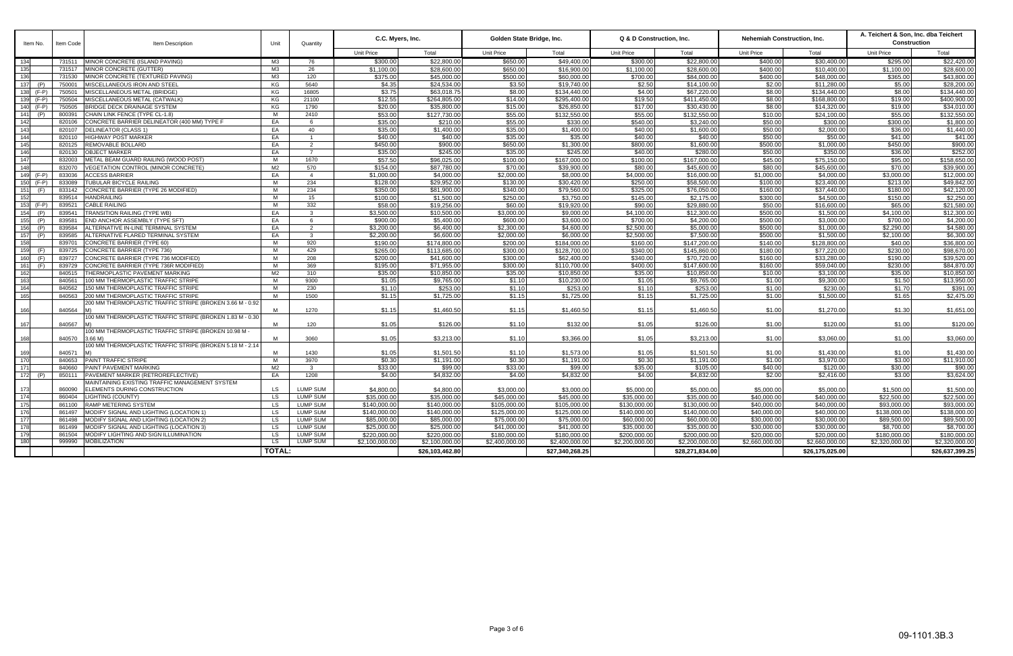| Item No.       | Item Code        | Item Description                                                       | Unit            | Quantity                           | C.C. Myers, Inc.            |                             | Golden State Bridge, Inc. |                             | Q & D Construction, Inc.    |                           |                           | Nehemiah Construction, Inc. | A. Teichert & Son, Inc. dba Teichert<br><b>Construction</b> |                             |
|----------------|------------------|------------------------------------------------------------------------|-----------------|------------------------------------|-----------------------------|-----------------------------|---------------------------|-----------------------------|-----------------------------|---------------------------|---------------------------|-----------------------------|-------------------------------------------------------------|-----------------------------|
|                |                  |                                                                        |                 |                                    | <b>Unit Price</b>           | Total                       | <b>Unit Price</b>         | Total                       | <b>Unit Price</b>           | Total                     | Unit Price                | Total                       | <b>Unit Price</b>                                           | Total                       |
| 134            | 731511           | MINOR CONCRETE (ISLAND PAVING)                                         | M3              | 76                                 | \$300.00                    | \$22,800.00                 | \$650.00                  | \$49,400.00                 | \$300.00                    | \$22,800.00               | \$400.00                  | \$30,400.00                 | \$295.00                                                    | \$22,420,00                 |
| 135            | 731517           | MINOR CONCRETE (GUTTER)                                                | МЗ              | 26                                 | \$1,100.00                  | \$28,600.00                 | \$650.00                  | \$16,900.00                 | \$1,100.00                  | \$28,600.00               | \$400.00                  | \$10,400.00                 | \$1,100.00                                                  | \$28,600.00                 |
| 136            | 731530           | MINOR CONCRETE (TEXTURED PAVING)                                       | МЗ              | 120                                | \$375.00                    | \$45,000.00                 | \$500.00                  | \$60,000.00                 | \$700.00                    | \$84,000.00               | \$400.00                  | \$48,000.00                 | \$365.00                                                    | \$43,800.00                 |
| 137<br>(P)     | 750001           | MISCELLANEOUS IRON AND STEEL                                           | KG              | 5640                               | \$4.35                      | \$24,534.00                 | \$3.50                    | \$19,740.00                 | \$2.50                      | \$14,100.00               | \$2.00                    | \$11,280.00                 | \$5.00                                                      | \$28,200.00                 |
| 138<br>$(F-P)$ | 750501           | MISCELLANEOUS METAL (BRIDGE)                                           | KG              | 16805                              | \$3.75                      | \$63,018.75                 | \$8.00                    | \$134,440.00                | \$4.00                      | \$67,220.00               | \$8.00                    | \$134,440.00                | \$8.00                                                      | \$134,440.00                |
| 139<br>$(F-P)$ | 750504           | <b><i>IISCELLANEOUS METAL (CATWALK)</i></b>                            | KG              | 21100                              | \$12.55                     | \$264.805.00                | \$14.00                   | \$295,400.00                | \$19.50                     | \$411,450.00              | \$8.00                    | \$168,800.00                | \$19.00                                                     | \$400,900.00                |
| $(F-P)$<br>140 | 750505           | BRIDGE DECK DRAINAGE SYSTEM                                            | KG              | 1790                               | \$20.00                     | \$35,800.00                 | \$15.00                   | \$26.850.00                 | \$17.00                     | \$30,430.00               | \$8.00                    | \$14.320.00                 | \$19.00                                                     | \$34.010.00                 |
| 141<br>(P)     | 800391           | CHAIN LINK FENCE (TYPE CL-1.8)                                         | M               | 2410                               | \$53.00                     | \$127,730.00                | \$55.00                   | \$132,550.00                | \$55.00                     | \$132,550.00              | \$10.00                   | \$24,100.00                 | \$55.00                                                     | \$132,550.00                |
| 142            | 820106           | CONCRETE BARRIER DELINEATOR (400 MM) TYPE F                            | EA              | 6                                  | \$35.00                     | \$210.00                    | \$55.00                   | \$330.00                    | \$540.00                    | \$3,240.00                | \$50.00                   | \$300.00                    | \$300.00                                                    | \$1,800.00                  |
| 143            | 820107           | <b>DELINEATOR (CLASS 1)</b>                                            | EA              | 40                                 | \$35.00                     | \$1,400.00                  | \$35.00                   | \$1,400.00                  | \$40.00                     | \$1,600.00                | \$50.00                   | \$2,000.00                  | \$36.00                                                     | \$1,440.00                  |
| 144            | 820110           | <b>HIGHWAY POST MARKER</b>                                             | EA              | $\overline{1}$                     | \$40.00                     | \$40.00                     | \$35.00                   | \$35.00                     | \$40.00                     | \$40.00                   | \$50.00                   | \$50.00                     | \$41.00                                                     | \$41.00                     |
| 145            | 820125           | REMOVABLE BOLLARD                                                      | EA              | $\overline{2}$                     | \$450.00                    | \$900.00                    | \$650.00                  | \$1,300.00                  | \$800.00                    | \$1,600.00                | \$500.00                  | \$1,000.00                  | \$450.00                                                    | \$900.00                    |
| 146            | 820130           | <b>OBJECT MARKER</b>                                                   | EA              | $\overline{7}$                     | \$35.00                     | \$245.00                    | \$35.00                   | \$245.00                    | \$40.00                     | \$280.00                  | \$50.00                   | \$350.00                    | \$36.00                                                     | \$252.00                    |
| 147            | 832003           | METAL BEAM GUARD RAILING (WOOD POST)                                   | M               | 1670                               | \$57.50                     | \$96,025.00                 | \$100.00                  | \$167,000.00                | \$100.00                    | \$167,000.00              | \$45.00                   | \$75,150.00                 | \$95.00                                                     | \$158,650.00                |
| 148            | 832070           | VEGETATION CONTROL (MINOR CONCRETE)                                    | M2              | 570                                | \$154.00                    | \$87,780.00                 | \$70.00                   | \$39,900.00                 | \$80.00                     | \$45,600.00               | \$80.00                   | \$45,600.00                 | \$70.00                                                     | \$39,900.00                 |
| 149<br>$(F-P)$ | 833036           | <b>ACCESS BARRIER</b>                                                  | EA              | $\overline{4}$                     | \$1,000.00                  | \$4,000.00                  | \$2,000.00                | \$8,000.00                  | \$4,000.00                  | \$16,000.00               | \$1,000.00                | \$4,000.00                  | \$3,000.00                                                  | \$12,000.00                 |
| 150<br>$(F-P)$ | 833089           | <b>TUBULAR BICYCLE RAILING</b>                                         | M               | 234                                | \$128.00                    | \$29,952.00                 | \$130.00                  | \$30,420.00                 | \$250.00                    | \$58,500.00               | \$100.00                  | \$23,400.00                 | \$213.00                                                    | \$49,842.00                 |
| 151<br>(F)     | 833142           | CONCRETE BARRIER (TYPE 26 MODIFIED)                                    | M               | 234                                | \$350.00                    | \$81,900.00                 | \$340.00                  | \$79,560.00                 | \$325.00                    | \$76,050.00               | \$160.00                  | \$37.440.00                 | \$180.00                                                    | \$42,120.00                 |
| 152            | 839514           | HANDRAILING                                                            | M               | 15                                 | \$100.00                    | \$1,500.00                  | \$250.00                  | \$3,750.00                  | \$145.00                    | \$2,175.00                | \$300.00                  | \$4,500.00                  | \$150.00                                                    | \$2,250.00                  |
| 153<br>(F-P)   | 839521           | CABLE RAILING                                                          | M               | 332                                | \$58.00                     | \$19,256.00                 | \$60.00                   | \$19,920.00                 | \$90.00                     | \$29,880.00               | \$50.00                   | \$16,600.00                 | \$65.00                                                     | \$21,580.00                 |
| 154<br>(P)     | 839541           | <b>FRANSITION RAILING (TYPE WB)</b>                                    | EA              | $\overline{\mathbf{3}}$            | \$3,500.00                  | \$10,500.00                 | \$3.000.00                | \$9,000.00                  | \$4.100.00                  | \$12,300.00               | \$500.00                  | \$1,500.00                  | \$4,100.00                                                  | \$12,300.00                 |
| 155<br>(P)     | 839581           | ND ANCHOR ASSEMBLY (TYPE SFT)                                          | EA              | -6                                 | \$900.00                    | \$5,400.00                  | \$600.00                  | \$3,600.00                  | \$700.00                    | \$4,200.00                | \$500.00                  | \$3,000.00                  | \$700.00                                                    | \$4,200.00                  |
| 156<br>(P)     | 839584           | <b>ILTERNATIVE IN-LINE TERMINAL SYSTEM</b>                             | EA              | 2                                  | \$3,200.00                  | \$6,400.00                  | \$2,300.00                | \$4,600.00                  | \$2,500.00                  | \$5,000.00                | \$500.00                  | \$1,000.00                  | \$2,290.00                                                  | \$4,580.00                  |
| 157<br>(P)     | 839585           | <b>ILTERNATIVE FLARED TERMINAL SYSTEM</b>                              | EA              | $\overline{\mathbf{3}}$            | \$2,200.00                  | \$6,600.00                  | \$2,000.00                | \$6,000.00                  | \$2,500.00                  | \$7,500.00                | \$500.00                  | \$1.500.00                  | \$2,100.00                                                  | \$6.300.00                  |
| 158            | 839701           | CONCRETE BARRIER (TYPE 60)                                             | M               | 920                                | \$190.00                    | \$174,800.00                | \$200.00                  | \$184,000.00                | \$160.00                    | \$147,200.00              | \$140.00                  | \$128,800.00                | \$40.00                                                     | \$36,800.00                 |
| 159<br>(F)     | 839725           | CONCRETE BARRIER (TYPE 736)                                            | M               | 429                                | \$265.00                    | \$113,685.00                | \$300.00                  | \$128,700.00                | \$340.00                    | \$145,860.00              | \$180.00                  | \$77,220.00                 | \$230.00                                                    | \$98,670.00                 |
| 160<br>(F)     | 839727           | CONCRETE BARRIER (TYPE 736 MODIFIED)                                   | M               | 208                                | \$200.00                    | \$41,600.00                 | \$300.00                  | \$62,400.00                 | \$340.00                    | \$70,720.00               | \$160.00                  | \$33,280.00                 | \$190.00                                                    | \$39,520.00                 |
| 161<br>(F)     | 839729           | CONCRETE BARRIER (TYPE 736R MODIFIED)                                  | M               | 369                                | \$195.00                    | \$71,955.00                 | \$300.00                  | \$110,700.00                | \$400.00                    | \$147,600.00              | \$160.00                  | \$59,040.00                 | \$230.00                                                    | \$84,870.00                 |
| 162            | 840515           | THERMOPLASTIC PAVEMENT MARKING                                         | M2              | 310                                | \$35.00                     | \$10,850.00                 | \$35.00                   | \$10,850.00                 | \$35.00                     | \$10,850.00               | \$10.00                   | \$3,100.00                  | \$35.00                                                     | \$10.850.00                 |
| 163            | 840561           | 00 MM THERMOPLASTIC TRAFFIC STRIPE                                     | M               | 9300                               | \$1.05                      | \$9,765.00                  | \$1.10                    | \$10,230.00                 | \$1.05                      | \$9,765.00                | \$1.00                    | \$9,300.00                  | \$1.50                                                      | \$13,950.00                 |
| 164            | 840562           | 50 MM THERMOPLASTIC TRAFFIC STRIPE                                     | M               | 230                                | \$1.10                      | \$253.00                    | \$1.10                    | \$253.00                    | \$1.10                      | \$253.00                  | \$1.00                    | \$230.00                    | \$1.70                                                      | \$391.00                    |
| 165            | 840563           | 200 MM THERMOPLASTIC TRAFFIC STRIPE                                    | M               | 1500                               | \$1.15                      | \$1,725.00                  | \$1.15                    | \$1,725.00                  | \$1.15                      | \$1,725.00                | \$1.00                    | \$1,500.00                  | \$1.65                                                      | \$2,475.00                  |
| 166            | 840564           | 200 MM THERMOPLASTIC TRAFFIC STRIPE (BROKEN 3.66 M - 0.92              | M               | 1270                               | \$1.15                      | \$1,460.50                  | \$1.15                    | \$1,460.50                  | \$1.15                      | \$1,460.50                | \$1.00                    | \$1,270.00                  | \$1.30                                                      | \$1,651.00                  |
|                |                  | 00 MM THERMOPLASTIC TRAFFIC STRIPE (BROKEN 1.83 M - 0.30               |                 |                                    |                             |                             |                           |                             |                             |                           |                           |                             |                                                             |                             |
| 167            | 840567           |                                                                        | M               | 120                                | \$1.05                      | \$126.00                    | \$1.10                    | \$132.00                    | \$1.05                      | \$126.00                  | \$1.00                    | \$120.00                    | \$1.00                                                      | \$120.00                    |
|                |                  | 100 MM THERMOPLASTIC TRAFFIC STRIPE (BROKEN 10.98 M -                  |                 |                                    |                             |                             |                           |                             |                             |                           |                           |                             |                                                             |                             |
| 168            | 840570           | (MA 3.66)                                                              | M               | 3060                               | \$1.05                      | \$3,213.00                  | \$1.10                    | \$3,366.00                  | \$1.05                      | \$3,213.00                | \$1.00                    | \$3,060.00                  | \$1.00                                                      | \$3,060.00                  |
|                |                  | 00 MM THERMOPLASTIC TRAFFIC STRIPE (BROKEN 5.18 M - 2.14               |                 |                                    |                             |                             |                           |                             |                             |                           |                           |                             |                                                             |                             |
| 169            | 840571           |                                                                        | M               | 1430                               | \$1.05                      | \$1,501.50                  | \$1.10                    | \$1,573.00                  | \$1.05                      | \$1,501.50                | \$1.00                    | \$1,430.00                  | \$1.00                                                      | \$1,430.00                  |
| 170            | 840653           | PAINT TRAFFIC STRIPE                                                   | M               | 3970                               | \$0.30                      | \$1,191.00                  | \$0.30                    | \$1,191.00                  | \$0.30                      | \$1,191.00                | \$1.00                    | \$3,970.00                  | \$3.00                                                      | \$11,910.00                 |
| 171            | 840660           | PAINT PAVEMENT MARKING                                                 | M2              | $\overline{\mathbf{3}}$            | \$33.00                     | \$99.00                     | \$33.00                   | \$99.00                     | \$35.00                     | \$105.00                  | \$40.00                   | \$120.00                    | \$30.00                                                     | \$90.00                     |
| 172<br>(P)     | 850111           | PAVEMENT MARKER (RETROREFLECTIVE)                                      | EA              | 1208                               | \$4.00                      | \$4,832.00                  | \$4.00                    | \$4,832.00                  | \$4.00                      | \$4,832.00                | \$2.00                    | \$2,416.00                  | \$3.00                                                      | \$3,624.00                  |
|                |                  | MAINTAINING EXISTING TRAFFIC MANAGEMENT SYSTEM                         | LS.             | <b>LUMP SUM</b>                    |                             |                             | \$3,000.00                | \$3,000.00                  |                             |                           |                           | \$5,000.00                  |                                                             |                             |
| 173<br>174     | 860090           | ELEMENTS DURING CONSTRUCTION                                           | $\overline{LS}$ | <b>LUMP SUM</b>                    | \$4,800.00<br>\$35,000.00   | \$4,800.00<br>\$35,000.00   | \$45,000.00               | \$45,000.00                 | \$5,000.00<br>\$35,000.00   | \$5,000.00<br>\$35,000.00 | \$5,000.00<br>\$40,000.00 | \$40,000.00                 | \$1,500.00<br>\$22,500.00                                   | \$1,500.00<br>\$22,500.00   |
|                | 860404<br>861100 | LIGHTING (COUNTY)                                                      |                 |                                    |                             |                             |                           |                             |                             |                           |                           |                             |                                                             |                             |
| 175            |                  | <b>RAMP METERING SYSTEM</b><br>MODIFY SIGNAL AND LIGHTING (LOCATION 1) | <b>LS</b>       | <b>LUMP SUM</b>                    | \$140,000.00                | \$140,000.00                | \$105,000.00              | \$105,000.00                | \$130,000.00                | \$130,000.00              | \$40,000.00               | \$40,000.00                 | \$93,000.00                                                 | \$93,000.00<br>\$138,000.00 |
| 176<br>177     | 861497           |                                                                        | LS<br><b>LS</b> | <b>LUMP SUM</b><br><b>LUMP SUM</b> | \$140,000.00<br>\$85,000.00 | \$140,000.00<br>\$85,000.00 | \$125,000.00              | \$125,000.00<br>\$75,000.00 | \$140,000.00<br>\$60,000.00 | \$140,000.00              | \$40,000.00               | \$40,000.00                 | \$138,000.00<br>\$89,500.00                                 | \$89,500.00                 |
|                | 861498           | MODIFY SIGNAL AND LIGHTING (LOCATION 2)                                |                 |                                    |                             |                             | \$75,000.00               |                             |                             | \$60,000.00               | \$30,000.00               | \$30,000.00                 |                                                             |                             |
| 178            | 861499           | MODIFY SIGNAL AND LIGHTING (LOCATION 3                                 | LS              | <b>LUMP SUM</b>                    | \$25,000.00                 | \$25,000.00                 | \$41,000.00               | \$41,000.00                 | \$35,000.00                 | \$35,000.00               | \$30,000.00               | \$30,000.00                 | \$8,700.00                                                  | \$8,700.00                  |
| 179<br>180     | 861504<br>999990 | MODIFY LIGHTING AND SIGN ILLUMINATION<br><b>MOBILIZATION</b>           | LS<br>LS        | <b>LUMP SUM</b><br><b>LUMP SUM</b> | \$220,000.00                | \$220,000.00                | \$180,000.00              | \$180,000.00                | \$200,000.00                | \$200,000.00              | \$20,000.00               | \$20,000.00                 | \$180,000,00                                                | \$180.000.00                |
|                |                  |                                                                        |                 |                                    | \$2,100,000.00              | \$2,100,000.00              | \$2,400,000.00            | \$2,400,000,00              | \$2,200,000.00              | \$2,200,000,00            | \$2,660,000.00            | \$2,660,000.00              | \$2,320,000.00                                              | \$2,320,000.00              |
|                |                  |                                                                        | <b>TOTAL:</b>   |                                    |                             | \$26,103,462.80             |                           | \$27,340,268.25             |                             | \$28,271,834.00           |                           | \$26,175,025.00             |                                                             | \$26,637,399.25             |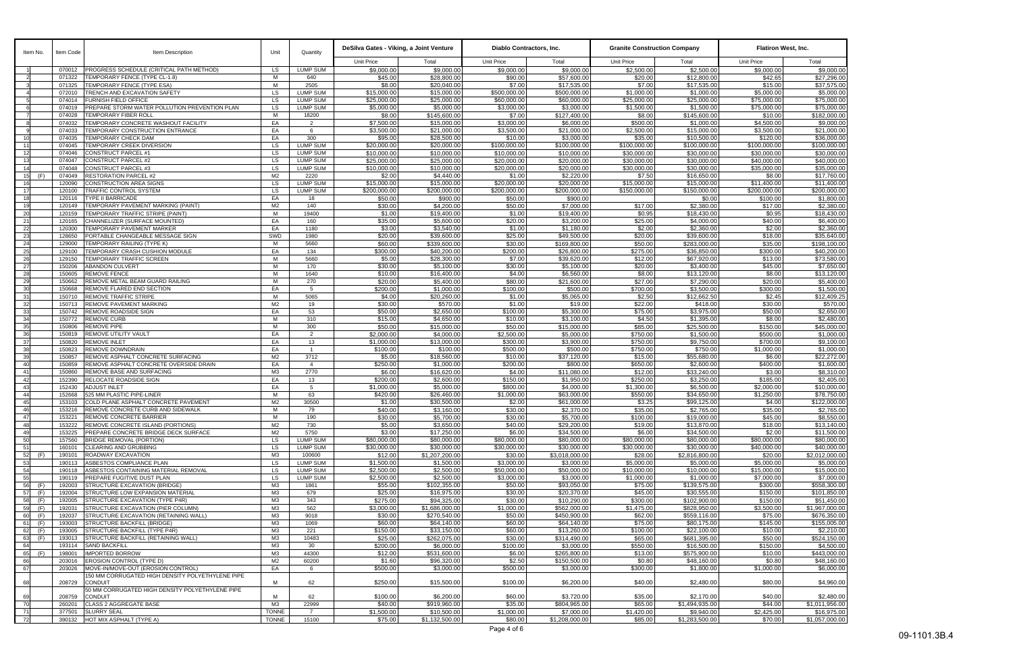| Item No.               | Item Code        | Item Description                                                            | Unit                             | Quantitv             | DeSilva Gates - Viking, a Joint Venture |                                | Diablo Contractors, Inc.  |                              | <b>Granite Construction Company</b> |                              | <b>Flatiron West, Inc.</b> |                                |  |
|------------------------|------------------|-----------------------------------------------------------------------------|----------------------------------|----------------------|-----------------------------------------|--------------------------------|---------------------------|------------------------------|-------------------------------------|------------------------------|----------------------------|--------------------------------|--|
|                        |                  |                                                                             |                                  |                      | <b>Unit Price</b>                       | Total                          | <b>Unit Price</b>         | Total                        | <b>Unit Price</b>                   | Total                        | Unit Price                 | Total                          |  |
|                        | 070012           | PROGRESS SCHEDULE (CRITICAL PATH METHOD)                                    | LS.                              | LUMP SUM             | \$9,000.00                              | \$9,000.00                     | \$9,000.00                | \$9,000.00                   | \$2,500.00                          | \$2,500.00                   | \$9,000.00                 | \$9,000.00                     |  |
|                        | 071322           | <b>TEMPORARY FENCE (TYPE CL-1.8)</b>                                        | M                                | 640                  | \$45.00                                 | \$28,800.00                    | \$90.00                   | \$57,600.00                  | \$20.00                             | \$12,800.00                  | \$42.65                    | \$27,296.00                    |  |
|                        | 071325<br>072010 | TEMPORARY FENCE (TYPE ESA)<br>TRENCH AND EXCAVATION SAFETY                  | M<br><b>LS</b>                   | 2505<br>LUMP SUM     | \$8.00<br>\$15,000.00                   | \$20,040.00<br>\$15,000.00     | \$7.00<br>\$500,000.00    | \$17,535.00<br>\$500,000.00  | \$7.00<br>\$1,000.00                | \$17,535.00<br>\$1,000.00    | \$15.00<br>\$5,000.00      | \$37,575.00<br>\$5,000.00      |  |
|                        | 074014           | <b>FURNISH FIELD OFFICE</b>                                                 | <b>LS</b>                        | <b>LUMP SUM</b>      | \$25,000.00                             | \$25,000.00                    | \$60,000.00               | \$60,000.00                  | \$25,000.00                         | \$25,000.00                  | \$75,000.00                | \$75,000.00                    |  |
|                        | 074019           | PREPARE STORM WATER POLLUTION PREVENTION PLAN                               | <b>LS</b>                        | LUMP SUM             | \$5,000.00                              | \$5,000.00                     | \$3,000.00                | \$3,000.00                   | \$1,500.00                          | \$1,500.00                   | \$75,000.00                | \$75,000.00                    |  |
|                        | 074028           | TEMPORARY FIBER ROLL                                                        | M                                | 18200                | \$8.00                                  | \$145,600.00                   | \$7.00                    | \$127,400.00                 | \$8.00                              | \$145,600.00                 | \$10.00                    | \$182,000.00                   |  |
|                        | 074032<br>074033 | TEMPORARY CONCRETE WASHOUT FACILITY<br>TEMPORARY CONSTRUCTION ENTRANCE      | EA<br>EA                         | $\overline{2}$<br>6  | \$7,500.00<br>\$3,500.00                | \$15,000.00<br>\$21,000.00     | \$3,000.00<br>\$3,500.00  | \$6,000.00<br>\$21,000.00    | \$500.00<br>\$2,500.00              | \$1,000.00<br>\$15,000.00    | \$4,500.00<br>\$3,500.00   | \$9,000.00<br>\$21,000.00      |  |
| 10                     | 074035           | TEMPORARY CHECK DAM                                                         | EA                               | 300                  | \$95.00                                 | \$28,500.00                    | \$10.00                   | \$3,000.00                   | \$35.00                             | \$10,500.00                  | \$120.00                   | \$36,000.00                    |  |
| 11                     | 074045           | TEMPORARY CREEK DIVERSION                                                   | <b>LS</b>                        | <b>LUMP SUM</b>      | \$20,000.00                             | \$20,000.00                    | \$100,000.00              | \$100,000.00                 | \$100,000.00                        | \$100,000.00                 | \$100,000.00               | \$100,000.00                   |  |
| 12                     | 074046           | CONSTRUCT PARCEL #1                                                         | <b>LS</b>                        | <b>LUMP SUM</b>      | \$10,000.00                             | \$10,000.00                    | \$10,000.00               | \$10,000.00                  | \$30,000.00                         | \$30,000.00                  | \$30,000.00                | \$30,000.00                    |  |
| 13                     | 074047           | CONSTRUCT PARCEL #2                                                         | <b>LS</b>                        | <b>LUMP SUM</b>      | \$25,000.00                             | \$25,000.00                    | \$20,000.00               | \$20,000.00                  | \$30,000.00                         | \$30,000.00                  | \$40,000.00                | \$40,000.00                    |  |
| 14<br>15<br>(F)        | 074048<br>074049 | CONSTRUCT PARCEL #3<br><b>RESTORATION PARCEL #2</b>                         | <b>LS</b><br>M <sub>2</sub>      | LUMP SUM<br>2220     | \$10,000.00<br>\$2.00                   | \$10,000.00<br>\$4,440.00      | \$20,000.00<br>\$1.00     | \$20,000.00<br>\$2,220.00    | \$30,000.00<br>\$7.50               | \$30,000.00<br>\$16,650.00   | \$35,000.00<br>\$8.00      | \$35,000.00<br>\$17,760.00     |  |
| 16                     | 120090           | CONSTRUCTION AREA SIGNS                                                     | LS.                              | <b>LUMP SUM</b>      | \$15,000.00                             | \$15,000.00                    | \$20,000.00               | \$20,000.00                  | \$15,000.00                         | \$15,000.00                  | \$11,400.00                | \$11,400.00                    |  |
| 17                     | 120100           | TRAFFIC CONTROL SYSTEM                                                      | <b>LS</b>                        | <b>LUMP SUM</b>      | \$200,000.00                            | \$200,000.00                   | \$200,000.00              | \$200,000.00                 | \$150,000.00                        | \$150,000.00                 | \$200,000.00               | \$200,000.00                   |  |
| 18                     | 120116           | <b>TYPE II BARRICADE</b>                                                    | EA                               | 18                   | \$50.00                                 | \$900.00                       | \$50.00                   | \$900.00                     |                                     | \$0.00                       | \$100.00                   | \$1,800.00                     |  |
| 19<br>20               | 120149<br>120159 | TEMPORARY PAVEMENT MARKING (PAINT)<br>TEMPORARY TRAFFIC STRIPE (PAINT)      | M <sub>2</sub><br>M              | 140<br>19400         | \$30.00<br>\$1.00                       | \$4,200.00<br>\$19,400.00      | \$50.00<br>\$1.00         | \$7,000.00<br>\$19,400.00    | \$17.00<br>\$0.95                   | \$2,380.00<br>\$18,430.00    | \$17.00<br>\$0.95          | \$2,380.00<br>\$18,430.00      |  |
| 21                     | 120165           | CHANNELIZER (SURFACE MOUNTED)                                               | EA                               | 160                  | \$35.00                                 | \$5,600.00                     | \$20.00                   | \$3,200.00                   | \$25.00                             | \$4,000.00                   | \$40.00                    | \$6,400.00                     |  |
| 22                     | 120300           | TEMPORARY PAVEMENT MARKER                                                   | EA                               | 1180                 | \$3.00                                  | \$3,540.00                     | \$1.00                    | \$1,180.00                   | \$2.00                              | \$2,360.00                   | \$2.00                     | \$2,360.00                     |  |
| 23                     | 128650           | PORTABLE CHANGEABLE MESSAGE SIGN                                            | SWD                              | 1980                 | \$20.00                                 | \$39,600.00                    | \$25.00                   | \$49,500.00                  | \$20.00                             | \$39,600.00                  | \$18.00                    | \$35,640.00                    |  |
| 24                     | 129000           | TEMPORARY RAILING (TYPE K)                                                  | M                                | 5660                 | \$60.00                                 | \$339,600.00                   | \$30.00                   | \$169,800.00                 | \$50.00                             | \$283,000.00                 | \$35.00                    | \$198,100.00                   |  |
| 25<br>26               | 129100<br>129150 | TEMPORARY CRASH CUSHION MODULE<br><b>TEMPORARY TRAFFIC SCREEN</b>           | EA<br>M                          | 134<br>5660          | \$300.00<br>\$5.00                      | \$40,200.00<br>\$28,300.00     | \$200.00<br>\$7.00        | \$26,800.00<br>\$39,620.00   | \$275.00<br>\$12.00                 | \$36,850.00<br>\$67,920.00   | \$300.00<br>\$13.00        | \$40,200.00<br>\$73,580.00     |  |
| 27                     | 150206           | <b>ABANDON CULVERT</b>                                                      | M                                | 170                  | \$30.00                                 | \$5,100.00                     | \$30.00                   | \$5,100.00                   | \$20.00                             | \$3,400.00                   | \$45.00                    | \$7,650.00                     |  |
| 28                     | 150605           | <b>REMOVE FENCE</b>                                                         | M                                | 1640                 | \$10.00                                 | \$16,400.00                    | \$4.00                    | \$6,560.00                   | \$8.00                              | \$13,120.00                  | \$8.00                     | \$13,120.00                    |  |
| 29                     | 150662           | REMOVE METAL BEAM GUARD RAILING                                             | M                                | 270                  | \$20.00                                 | \$5,400.00                     | \$80.00                   | \$21,600.00                  | \$27.00                             | \$7,290.00                   | \$20.00                    | \$5,400.00                     |  |
| 30                     | 150668           | REMOVE FLARED END SECTION                                                   | EA                               | 5<br>5065            | \$200.00<br>\$4.00                      | \$1,000.00<br>\$20,260.00      | \$100.00<br>\$1.00        | \$500.00                     | \$700.00<br>\$2.50                  | \$3,500.00<br>\$12,662.50    | \$300.00<br>\$2.45         | \$1,500.00                     |  |
| 31<br>32               | 150710<br>150713 | <b>REMOVE TRAFFIC STRIPE</b><br>REMOVE PAVEMENT MARKING                     | M<br>M <sub>2</sub>              | 19                   | \$30.00                                 | \$570.00                       | \$1.00                    | \$5,065.00<br>\$19.00        | \$22.00                             | \$418.00                     | \$30.00                    | \$12,409.25<br>\$570.00        |  |
| 33                     | 150742           | REMOVE ROADSIDE SIGN                                                        | EA                               | 53                   | \$50.00                                 | \$2,650.00                     | \$100.00                  | \$5,300.00                   | \$75.00                             | \$3,975.00                   | \$50.00                    | \$2,650.00                     |  |
| 34                     | 150772           | <b>REMOVE CURB</b>                                                          | M                                | 310                  | \$15.00                                 | \$4,650.00                     | \$10.00                   | \$3,100.00                   | \$4.50                              | \$1,395.00                   | \$8.00                     | \$2,480.00                     |  |
| 35                     | 150806           | <b>REMOVE PIPE</b>                                                          | M                                | 300                  | \$50.00                                 | \$15,000.00                    | \$50.00                   | \$15,000.00                  | \$85.00                             | \$25,500.00                  | \$150.00                   | \$45,000.00                    |  |
| 36<br>37               | 150819<br>150820 | REMOVE UTILITY VAULT<br><b>REMOVE INLET</b>                                 | EA<br>EA                         | 2<br>13              | \$2,000.00<br>\$1,000.00                | \$4,000.00<br>\$13,000.00      | \$2,500.00<br>\$300.00    | \$5,000.00<br>\$3,900.00     | \$750.00<br>\$750.00                | \$1,500.00<br>\$9,750.00     | \$500.00<br>\$700.00       | \$1,000.00<br>\$9,100.00       |  |
| 38                     | 150823           | REMOVE DOWNDRAIN                                                            | EA                               | $\overline{1}$       | \$100.00                                | \$100.00                       | \$500.00                  | \$500.00                     | \$750.00                            | \$750.00                     | \$1,000.00                 | \$1,000.00                     |  |
| 39                     | 150857           | REMOVE ASPHALT CONCRETE SURFACING                                           | M <sub>2</sub>                   | 3712                 | \$5.00                                  | \$18,560.00                    | \$10.00                   | \$37,120.00                  | \$15.00                             | \$55,680.00                  | \$6.00                     | \$22,272.00                    |  |
| 40                     | 150859           | REMOVE ASPHALT CONCRETE OVERSIDE DRAIN                                      | EA                               | $\overline{4}$       | \$250.00                                | \$1,000.00                     | \$200.00                  | \$800.00                     | \$650.00                            | \$2,600.00                   | \$400.00                   | \$1,600.00                     |  |
| 41                     | 150860           | REMOVE BASE AND SURFACING                                                   | M3                               | 2770                 | \$6.00                                  | \$16,620.00                    | \$4.00                    | \$11,080.00                  | \$12.00                             | \$33,240.00                  | \$3.00                     | \$8,310.00                     |  |
| 42<br>43               | 152390<br>152430 | RELOCATE ROADSIDE SIGN<br><b>ADJUST INLET</b>                               | EA<br>EA                         | 13<br>5              | \$200.00<br>\$1,000.00                  | \$2,600.00<br>\$5,000.00       | \$150.00<br>\$800.00      | \$1,950.00<br>\$4,000.00     | \$250.00<br>\$1,300.00              | \$3,250.00<br>\$6,500.00     | \$185.00<br>\$2,000.00     | \$2,405.00<br>\$10,000.00      |  |
| 44                     | 152668           | 525 MM PLASTIC PIPE-LINER                                                   | M                                | 63                   | \$420.00                                | \$26,460.00                    | \$1,000.00                | \$63,000.00                  | \$550.00                            | \$34,650.00                  | \$1,250.00                 | \$78,750.00                    |  |
| 45                     | 153103           | COLD PLANE ASPHALT CONCRETE PAVEMENT                                        | M <sub>2</sub>                   | 30500                | \$1.00                                  | \$30,500.00                    | \$2.00                    | \$61,000.00                  | \$3.25                              | \$99,125.00                  | \$4.00                     | \$122,000.00                   |  |
| 46                     |                  | 153216 REMOVE CONCRETE CURB AND SIDEWALK                                    | M                                | 79                   | \$40.00                                 | \$3,160.00                     | \$30.00                   | \$2,370.00                   | \$35.00                             | \$2,765.00                   | \$35.00                    | \$2,765.00                     |  |
| 47                     | 153221           | REMOVE CONCRETE BARRIER<br>REMOVE CONCRETE ISLAND (PORTIONS)                | M                                | 190                  | \$30.00                                 | \$5,700.00                     | \$30.00                   | \$5,700.00                   | \$100.00                            | \$19,000.00                  | \$45.00                    | \$8,550.00<br>\$13.140.00      |  |
| 48<br>49               | 153222<br>153225 | PREPARE CONCRETE BRIDGE DECK SURFACE                                        | M <sub>2</sub><br>M <sub>2</sub> | 730<br>5750          | \$5.00<br>\$3.00                        | \$3,650.00<br>\$17,250.00      | \$40.00<br>\$6.00         | \$29,200.00<br>\$34,500.00   | \$19.00<br>\$6.00                   | \$13,870.00<br>\$34,500.00   | \$18.00<br>\$2.00          | \$11,500.00                    |  |
| 50                     | 157560           | <b>BRIDGE REMOVAL (PORTION)</b>                                             | <b>LS</b>                        | <b>LUMP SUM</b>      | \$80,000.00                             | \$80,000.00                    | \$80,000.00               | \$80,000.00                  | \$80,000.00                         | \$80,000.00                  | \$80,000.00                | \$80,000.00                    |  |
| 51                     | 160101           | CLEARING AND GRUBBING                                                       | <b>LS</b>                        | <b>LUMP SUM</b>      | \$30,000.00                             | \$30,000.00                    | \$30,000.00               | \$30,000.00                  | \$30,000.00                         | \$30,000.00                  | \$40,000.00                | \$40,000.00                    |  |
| 52<br>(F)              | 190101           | ROADWAY EXCAVATION                                                          | M3                               | 100600               | \$12.00                                 | \$1,207,200.00                 | \$30.00                   | \$3,018,000.00               | \$28.00                             | \$2,816,800.00               | \$20.00                    | \$2,012,000.00                 |  |
| 53<br>54               | 190113<br>190118 | ASBESTOS COMPLIANCE PLAN<br>ASBESTOS CONTAINING MATERIAL REMOVAL            | <b>LS</b><br><b>LS</b>           | LUMP SUM<br>LUMP SUM | \$1,500.00<br>\$2,500.00                | \$1,500.00<br>\$2,500.00       | \$3,000.00<br>\$50,000.00 | \$3,000.00<br>\$50,000.00    | \$5,000.00<br>\$10,000.00           | \$5,000.00<br>\$10,000.00    | \$5,000.00<br>\$15,000.00  | \$5,000.00<br>\$15,000.00      |  |
| 55                     | 190119           | PREPARE FUGITIVE DUST PLAN                                                  | <b>LS</b>                        | <b>LUMP SUM</b>      | \$2,500.00                              | \$2,500.00                     | \$3,000.00                | \$3,000.00                   | \$1,000.00                          | \$1,000.00                   | \$7,000.00                 | \$7,000.00                     |  |
| 56 (F)                 | 192003           | STRUCTURE EXCAVATION (BRIDGE)                                               | ΜЗ                               | 1861                 | \$55.00                                 | \$102,355.00                   | \$50.00                   | \$93,050.00                  | \$75.00                             | \$139,575.00                 | \$300.00                   | \$558,300.00                   |  |
| 57<br>(F)              | 192004           | <b>STRUCTURE LOW EXPANSION MATERIAL</b>                                     | M <sub>3</sub>                   | 679                  | \$25.00                                 | \$16,975.00                    | \$30.00                   | \$20,370.00                  | \$45.00                             | \$30,555.00                  | \$150.00                   | \$101,850.00                   |  |
| 58<br>(F)              | 192005           | STRUCTURE EXCAVATION (TYPE P4R)                                             | M3                               | 343                  | \$275.00                                | \$94,325.00                    | \$30.00                   | \$10,290.00                  | \$300.00                            | \$102,900.00                 | \$150.00                   | \$51,450.00                    |  |
| 59<br>(F)<br>60<br>(F) | 192031<br>192037 | STRUCTURE EXCAVATION (PIER COLUMN)<br>STRUCTURE EXCAVATION (RETAINING WALL) | ΜЗ<br>ΜЗ                         | 562<br>9018          | \$3,000.00<br>\$30.00                   | \$1.686.000.00<br>\$270,540.00 | \$1,000.00<br>\$50.00     | \$562,000.00<br>\$450,900.00 | \$1,475.00<br>\$62.00               | \$828,950.00<br>\$559,116.00 | \$3,500.00<br>\$75.00      | \$1,967,000.00<br>\$676,350.00 |  |
| 61<br>(F)              | 193003           | STRUCTURE BACKFILL (BRIDGE)                                                 | M3                               | 1069                 | \$60.00                                 | \$64,140.00                    | \$60.00                   | \$64,140.00                  | \$75.00                             | \$80,175.00                  | \$145.00                   | \$155,005.00                   |  |
| 62<br>(F)              | 193005           | STRUCTURE BACKFILL (TYPE P4R)                                               | M3                               | 221                  | \$150.00                                | \$33,150.00                    | \$60.00                   | \$13,260.00                  | \$100.00                            | \$22,100.00                  | \$10.00                    | \$2,210.00                     |  |
| 63<br>(F)              | 193013           | STRUCTURE BACKFILL (RETAINING WALL)                                         | M3                               | 10483                | \$25.00                                 | \$262,075.00                   | \$30.00                   | \$314,490.00                 | \$65.00                             | \$681,395.00                 | \$50.00                    | \$524,150.00                   |  |
| 64                     | 193114           | <b>SAND BACKFILL</b>                                                        | M3                               | 30                   | \$200.00                                | \$6,000.00                     | \$100.00                  | \$3,000.00                   | \$550.00                            | \$16,500.00                  | \$150.00                   | \$4,500.00                     |  |
| 65<br>(F)<br>66        | 198001<br>203016 | <b>IMPORTED BORROW</b><br><b>EROSION CONTROL (TYPE D)</b>                   | M <sub>3</sub><br>M2             | 44300<br>60200       | \$12.00<br>\$1.60                       | \$531,600.00<br>\$96,320.00    | \$6.00<br>\$2.50          | \$265,800.00<br>\$150,500.00 | \$13.00<br>\$0.80                   | \$575,900.00<br>\$48,160.00  | \$10.00<br>\$0.80          | \$443,000.00<br>\$48,160.00    |  |
| 67                     | 203026           | MOVE-IN/MOVE-OUT (EROSION CONTROL)                                          | EA                               | 6                    | \$500.00                                | \$3,000.00                     | \$500.00                  | \$3,000.00                   | \$300.00                            | \$1,800.00                   | \$1,000.00                 | \$6,000.00                     |  |
|                        |                  | 150 MM CORRUGATED HIGH DENSITY POLYETHYLENE PIPE                            |                                  |                      |                                         |                                |                           |                              |                                     |                              |                            |                                |  |
| 68                     | 208729           | <b>CONDUIT</b><br>50 MM CORRUGATED HIGH DENSITY POLYETHYLENE PIPE           | M                                | 62                   | \$250.00                                | \$15,500.00                    | \$100.00                  | \$6,200.00                   | \$40.00                             | \$2,480.00                   | \$80.00                    | \$4,960.00                     |  |
| 69                     | 208759           | <b>CONDUIT</b>                                                              | M                                | 62                   | \$100.00                                | \$6,200.00                     | \$60.00                   | \$3,720.00                   | \$35.00                             | \$2,170.00                   | \$40.00                    | \$2,480.00                     |  |
| 70                     | 260201           | <b>CLASS 2 AGGREGATE BASE</b>                                               | M <sub>3</sub>                   | 22999                | \$40.00                                 | \$919,960.00                   | \$35.00                   | \$804,965.00                 | \$65.00                             | \$1,494,935.00               | \$44.00                    | \$1,011,956.00                 |  |
| 71                     | 377501           | <b>SLURRY SEAL</b>                                                          | <b>TONNE</b>                     |                      | \$1,500.00                              | \$10,500.00                    | \$1,000.00                | \$7,000.00                   | \$1,420.00                          | \$9,940.00                   | \$2,425.00                 | \$16,975.00                    |  |
| 72                     | 390132           | HOT MIX ASPHALT (TYPE A)                                                    | <b>TONNE</b>                     | 15100                | \$75.00                                 | \$1,132,500.00                 | \$80.00                   | \$1,208,000.00               | \$85.00                             | \$1,283,500.00               | \$70.00                    | \$1,057,000.00                 |  |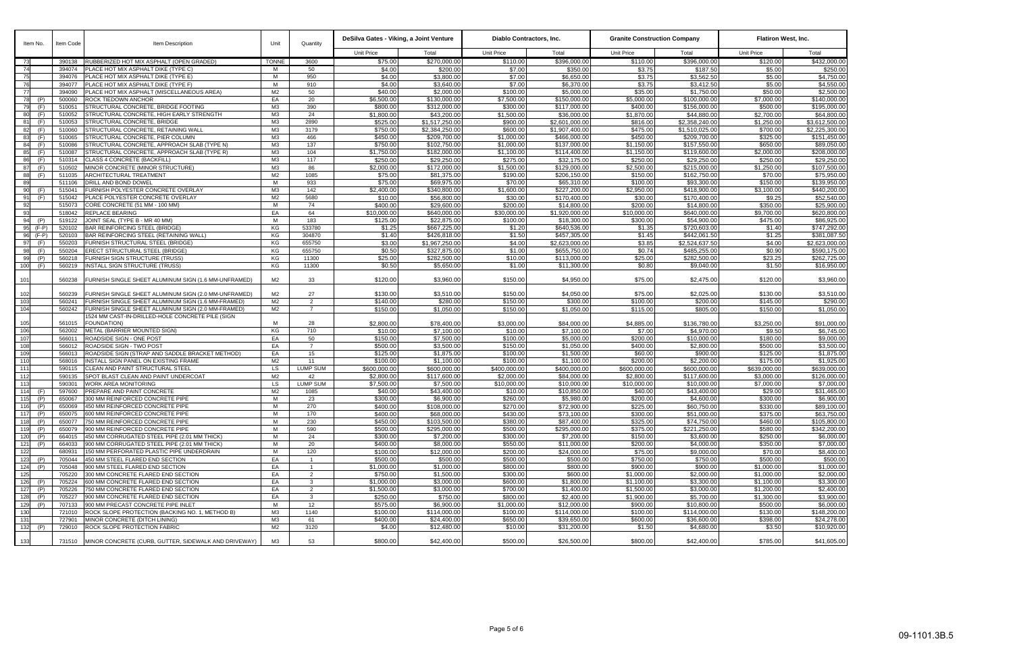| Item No.<br>Item Code    |                  | <b>Item Description</b>                                                           | Unit                             | Quantitv           | DeSilva Gates - Viking, a Joint Venture |                                        | Diablo Contractors, Inc. |                              | <b>Granite Construction Company</b> |                              | <b>Flatiron West, Inc.</b> |                             |  |
|--------------------------|------------------|-----------------------------------------------------------------------------------|----------------------------------|--------------------|-----------------------------------------|----------------------------------------|--------------------------|------------------------------|-------------------------------------|------------------------------|----------------------------|-----------------------------|--|
|                          |                  |                                                                                   |                                  |                    | Unit Price                              | Total                                  | Unit Price               | Total                        | <b>Unit Price</b>                   | Total                        | <b>Unit Price</b>          | Total                       |  |
| 73                       | 390138           | RUBBERIZED HOT MIX ASPHALT (OPEN GRADED)                                          | <b>TONNE</b>                     | 3600               | \$75.00                                 | \$270,000.00                           | \$110.00                 | \$396,000.00                 | \$110.00                            | \$396,000.00                 | \$120.00                   | \$432,000.00                |  |
| 74                       | 394074           | PLACE HOT MIX ASPHALT DIKE (TYPE C)                                               | M                                | 50                 | \$4.00                                  | \$200.00                               | \$7.00                   | \$350.00                     | \$3.75                              | \$187.50                     | \$5.00                     | \$250.00                    |  |
| 75                       | 394076           | PLACE HOT MIX ASPHALT DIKE (TYPE E)                                               | M<br>M                           | 950                | \$4.00<br>\$4.00                        | \$3,800.00<br>\$3,640.00               | \$7.00<br>\$7.00         | \$6,650.00<br>\$6,370.00     | \$3.75<br>\$3.75                    | \$3,562.50<br>\$3,412.50     | \$5.00<br>\$5.00           | \$4,750.00<br>\$4,550.00    |  |
| 76                       | 394077<br>394090 | PLACE HOT MIX ASPHALT DIKE (TYPE F)<br>PLACE HOT MIX ASPHALT (MISCELLANEOUS AREA) | M <sub>2</sub>                   | 910<br>50          | \$40.00                                 | \$2,000.00                             | \$100.00                 | \$5,000.00                   | \$35.00                             | \$1,750.00                   | \$50.00                    | \$2,500.00                  |  |
| (P)<br>78                | 500060           | ROCK TIEDOWN ANCHOR                                                               | EA                               | 20                 | \$6,500.00                              | \$130,000.00                           | \$7,500.00               | \$150,000.00                 | \$5,000.00                          | \$100,000.00                 | \$7,000.00                 | \$140,000.00                |  |
| 79<br>(F)                | 510051           | STRUCTURAL CONCRETE, BRIDGE FOOTING                                               | M <sub>3</sub>                   | 390                | \$800.00                                | \$312,000.00                           | \$300.00                 | \$117,000.00                 | \$400.00                            | \$156,000.00                 | \$500.00                   | \$195,000.00                |  |
| 80<br>(F)                | 510052           | STRUCTURAL CONCRETE, HIGH EARLY STRENGTH                                          | M3                               | 24                 | \$1,800.00                              | \$43,200.00                            | \$1,500.00               | \$36,000.00                  | \$1,870.00                          | \$44,880.00                  | \$2,700.00                 | \$64,800.00                 |  |
| 81<br>(F)                | 510053           | STRUCTURAL CONCRETE, BRIDGE                                                       | M <sub>3</sub>                   | 2890               | \$525.00                                | \$1,517,250.00                         | \$900.00                 | \$2,601,000.00               | \$816.00                            | \$2,358,240.00               | \$1,250.00                 | \$3,612,500.00              |  |
| 82<br>(F)                | 510060           | STRUCTURAL CONCRETE, RETAINING WALL                                               | M <sub>3</sub>                   | 3179               | \$750.00                                | \$2,384,250.00                         | \$600.00                 | \$1,907,400.00               | \$475.00                            | \$1,510,025.00               | \$700.00                   | \$2,225,300.00              |  |
| 83<br>(F)                | 510065           | STRUCTURAL CONCRETE, PIER COLUMN                                                  | M <sub>3</sub>                   | 466                | \$450.00                                | \$209,700.00                           | \$1,000.00               | \$466,000.00                 | \$450.00                            | \$209,700.00                 | \$325.00                   | \$151,450.00                |  |
| 84<br>(F)                | 510086           | STRUCTURAL CONCRETE, APPROACH SLAB (TYPE N)                                       | M <sub>3</sub>                   | 137                | \$750.00                                | \$102,750.00                           | \$1,000.00               | \$137,000.00                 | \$1,150.00                          | \$157,550.00                 | \$650.00                   | \$89,050.00                 |  |
| 85<br>(F)                | 510087           | STRUCTURAL CONCRETE, APPROACH SLAB (TYPE R)                                       | M <sub>3</sub>                   | 104                | \$1,750.00                              | \$182,000.00                           | \$1,100.00               | \$114,400.00                 | \$1,150.00                          | \$119,600.00                 | \$2,000.00                 | \$208,000.00                |  |
| 86<br>(F)                | 510314           | CLASS 4 CONCRETE (BACKFILL)                                                       | M <sub>3</sub>                   | 117                | \$250.00                                | \$29,250.00                            | \$275.00                 | \$32,175.00                  | \$250.00                            | \$29,250.00                  | \$250.00                   | \$29,250.00                 |  |
| 87<br>(F)<br>(F)         | 510502<br>511035 | MINOR CONCRETE (MINOR STRUCTURE)                                                  | M <sub>3</sub><br>M <sub>2</sub> | 86<br>1085         | \$2,000.00<br>\$75.00                   | \$172,000.00<br>\$81,375.00            | \$1,500.00<br>\$190.00   | \$129,000.00<br>\$206,150.00 | \$2,500.00<br>\$150.00              | \$215,000.00<br>\$162,750.00 | \$1,250.00<br>\$70.00      | \$107,500.00<br>\$75,950.00 |  |
| 88<br>89                 | 511106           | ARCHITECTURAL TREATMENT<br>DRILL AND BOND DOWEL                                   | M                                | 933                | \$75.00                                 | \$69,975.00                            | \$70.00                  | \$65,310.00                  | \$100.00                            | \$93,300.00                  | \$150.00                   | \$139,950.00                |  |
| 90<br>(F)                | 515041           | FURNISH POLYESTER CONCRETE OVERLAY                                                | M <sub>3</sub>                   | 142                | \$2,400.00                              | \$340,800.00                           | \$1,600.00               | $\overline{$227,200.00}$     | \$2,950.00                          | \$418,900.00                 | \$3,100.00                 | \$440,200.00                |  |
| 91<br>(F)                | 515042           | PLACE POLYESTER CONCRETE OVERLAY                                                  | M <sub>2</sub>                   | 5680               | \$10.00                                 | \$56,800.00                            | \$30.00                  | \$170,400.00                 | \$30.00                             | \$170,400.00                 | \$9.25                     | \$52,540.00                 |  |
| 92                       | 515073           | CORE CONCRETE (51 MM - 100 MM)                                                    | M                                | 74                 | \$400.00                                | \$29,600.00                            | \$200.00                 | \$14,800.00                  | \$200.00                            | \$14,800.00                  | \$350.00                   | \$25,900.00                 |  |
| 93                       | 518042           | <b>REPLACE BEARING</b>                                                            | EA                               | 64                 | \$10,000.00                             | \$640,000.00                           | \$30,000.00              | \$1,920,000.00               | \$10,000.00                         | \$640,000.00                 | \$9,700.00                 | \$620,800.00                |  |
| 94<br>(P)                | 519122           | JOINT SEAL (TYPE B - MR 40 MM)                                                    | M                                | 183                | \$125.00                                | \$22,875.00                            | \$100.00                 | \$18,300.00                  | \$300.00                            | \$54,900.00                  | \$475.00                   | \$86,925.00                 |  |
| 95<br>$(F-P)$            | 520102           | BAR REINFORCING STEEL (BRIDGE)                                                    | KG                               | 533780             | \$1.25                                  | \$667,225.00                           | \$1.20                   | \$640,536.00                 | \$1.35                              | \$720,603.00                 | \$1.40                     | \$747,292.00                |  |
| 96<br>$(F-P)$            | 520103           | BAR REINFORCING STEEL (RETAINING WALL)                                            | KG                               | 304870             | \$1.40                                  | \$426,818.00                           | \$1.50                   | \$457,305.00                 | \$1.45                              | \$442,061.50                 | \$1.25                     | \$381,087.50                |  |
| 97<br>(F)                | 550203           | <b>FURNISH STRUCTURAL STEEL (BRIDGE)</b>                                          | KG                               | 655750             | \$3.00                                  | \$1,967,250.00                         | \$4.00                   | \$2,623,000.00               | \$3.85                              | \$2,524,637.50               | \$4.00                     | \$2,623,000.00              |  |
| 98<br>(F)                | 550204           | ERECT STRUCTURAL STEEL (BRIDGE)                                                   | KG                               | 655750             | \$0.50                                  | \$327,875.00                           | \$1.00                   | \$655,750.00                 | \$0.74                              | \$485,255.00                 | \$0.90                     | \$590,175.00                |  |
| 99<br>(P)<br>100<br>(F)  | 560218<br>560219 | <b>FURNISH SIGN STRUCTURE (TRUSS)</b><br><b>NSTALL SIGN STRUCTURE (TRUSS)</b>     | KG<br>KG                         | 11300<br>11300     | \$25.00<br>\$0.50                       | \$282,500.00<br>\$5,650.00             | \$10.00<br>\$1.00        | \$113,000.00<br>\$11,300.00  | \$25.00<br>\$0.80                   | \$282,500.00<br>\$9,040.00   | \$23.25<br>\$1.50          | \$262,725.00<br>\$16,950.00 |  |
|                          |                  |                                                                                   |                                  |                    |                                         |                                        |                          |                              |                                     |                              |                            |                             |  |
| 101                      | 560238           | FURNISH SINGLE SHEET ALUMINUM SIGN (1.6 MM-UNFRAMED)                              | M <sub>2</sub>                   | 33                 | \$120.00                                | \$3,960.00                             | \$150.00                 | \$4,950.00                   | \$75.00                             | \$2,475.00                   | \$120.00                   | \$3,960.00                  |  |
| 102                      | 560239           | FURNISH SINGLE SHEET ALUMINUM SIGN (2.0 MM-UNFRAMED)                              | M <sub>2</sub>                   | 27                 | \$130.00                                | \$3,510.00                             | \$150.00                 | \$4,050.00                   | \$75.00                             | \$2,025.00                   | \$130.00                   | \$3,510.00                  |  |
| 103                      | 560241           | FURNISH SINGLE SHEET ALUMINUM SIGN (1.6 MM-FRAMED)                                | M <sub>2</sub>                   | 2                  | \$140.00                                | \$280.00                               | \$150.00                 | \$300.00                     | \$100.00                            | \$200.00                     | \$145.00                   | \$290.00                    |  |
| 104                      | 560242           | FURNISH SINGLE SHEET ALUMINUM SIGN (2.0 MM-FRAMED)                                | M <sub>2</sub>                   | $\overline{7}$     | \$150.00                                | \$1,050.00                             | \$150.00                 | \$1,050.00                   | \$115.00                            | \$805.00                     | \$150.00                   | \$1,050.00                  |  |
| 105                      | 561015           | 1524 MM CAST-IN-DRILLED-HOLE CONCRETE PILE (SIGN<br><b>FOUNDATION)</b>            | M                                | 28                 | \$2,800.00                              | \$78,400.00                            | \$3,000.00               | \$84,000.00                  | \$4,885.00                          | \$136,780.00                 | \$3,250.00                 | \$91,000.00                 |  |
| 106                      | 562002           | METAL (BARRIER MOUNTED SIGN)                                                      | KG                               | 710                | \$10.00                                 | \$7,100.00                             | \$10.00                  | \$7,100.00                   | \$7.00                              | \$4,970.00                   | \$9.50                     | \$6,745.00                  |  |
| 107                      | 566011           | ROADSIDE SIGN - ONE POST                                                          | EA                               | 50                 | \$150.00                                | \$7,500.00                             | \$100.00                 | \$5,000.00                   | \$200.00                            | \$10,000.00                  | \$180.00                   | \$9,000.00                  |  |
| 108                      | 566012           | ROADSIDE SIGN - TWO POST                                                          | EA                               | $\overline{7}$     | \$500.00                                | \$3,500.00                             | \$150.00                 | \$1,050.00                   | \$400.00                            | \$2,800.00                   | \$500.00                   | \$3,500.00                  |  |
| 109                      | 566013           | ROADSIDE SIGN (STRAP AND SADDLE BRACKET METHOD)                                   | EA                               | 15                 | \$125.00                                | \$1,875.00                             | \$100.00                 | \$1,500.00                   | \$60.00                             | \$900.00                     | \$125.00                   | \$1,875.00                  |  |
| 110                      | 568016           | NSTALL SIGN PANEL ON EXISTING FRAME                                               | M <sub>2</sub>                   | 11                 | \$100.00                                | \$1,100.00                             | \$100.00                 | \$1,100.00                   | \$200.00                            | \$2,200.00                   | \$175.00                   | \$1,925.00                  |  |
| 111                      | 590115           | CLEAN AND PAINT STRUCTURAL STEEL                                                  | <b>LS</b>                        | <b>LUMP SUM</b>    | \$600,000.00                            | \$600,000.00                           | \$400,000.00             | \$400,000.00                 | \$600,000.00                        | \$600,000.00                 | \$639,000.00               | \$639,000.00                |  |
| 112                      | 590135           | SPOT BLAST CLEAN AND PAINT UNDERCOAT                                              | M <sub>2</sub>                   | 42                 | \$2,800.00                              | \$117,600.00                           | \$2,000.00               | \$84,000.00                  | \$2,800.00                          | \$117,600.00                 | \$3,000.00                 | \$126,000.00                |  |
| 113                      | 590301           | VORK AREA MONITORING                                                              | <b>LS</b>                        | <b>LUMP SUM</b>    | \$7,500.00                              | \$7,500.00                             | \$10,000.00              | \$10,000.00                  | \$10,000.00                         | \$10,000.00                  | \$7,000.00                 | \$7,000.00                  |  |
| 114<br>(F)               | 597600           | PREPARE AND PAINT CONCRETE                                                        | M <sub>2</sub>                   | 1085               | \$40.00                                 | \$43,400.0                             | \$10.00                  | \$10,850.00                  | \$40.00                             | \$43,400.00                  | \$29.00                    | \$31,465.00                 |  |
| 115<br>(P)<br>116 (P)    | 650067<br>650069 | 300 MM REINFORCED CONCRETE PIPE<br>450 MM REINFORCED CONCRETE PIPE                | M<br>М                           | 23<br>270          | \$300.00<br>\$400.00                    | $\overline{$6,900.00}$<br>\$108,000.00 | \$260.00<br>\$270.00     | \$5,980.00<br>\$72,900.00    | \$200.00<br>\$225.00                | \$4,600.00<br>\$60,750.00    | \$300.00<br>\$330.00       | \$6,900.00                  |  |
| 117<br>(P)               | 650075           | 600 MM REINFORCED CONCRETE PIPE                                                   | М                                | 170                | \$400.00                                | \$68,000.00                            | \$430.00                 | \$73,100.00                  | \$300.00                            | \$51,000.00                  | \$375.00                   | \$89,100.00<br>\$63,750.00  |  |
| 118<br>(P)               | 650077           | 750 MM REINFORCED CONCRETE PIPE                                                   | M                                | 230                | \$450.00                                | \$103,500.00                           | \$380.00                 | \$87,400.00                  | \$325.00                            | \$74.750.00                  | \$460.00                   | \$105,800.00                |  |
| 119 (P)                  | 650079           | 900 MM REINFORCED CONCRETE PIPE                                                   | M                                | 590                | \$500.00                                | \$295.000.00                           | \$500.00                 | \$295,000.00                 | \$375.00                            | \$221,250.00                 | \$580.00                   | \$342,200.00                |  |
| 120<br>(P)               | 664015           | 450 MM CORRUGATED STEEL PIPE (2.01 MM THICK)                                      | M                                | 24                 | \$300.00                                | \$7,200.00                             | \$300.00                 | \$7,200.00                   | \$150.00                            | \$3,600.00                   | \$250.00                   | \$6,000.00                  |  |
| 121<br>(P)               | 664033           | 900 MM CORRUGATED STEEL PIPE (2.01 MM THICK)                                      | M                                | 20                 | \$400.00                                | \$8,000.00                             | \$550.00                 | \$11,000.00                  | \$200.00                            | \$4,000.00                   | \$350.00                   | \$7,000.00                  |  |
| 122                      | 680931           | 150 MM PERFORATED PLASTIC PIPE UNDERDRAIN                                         | M                                | 120                | \$100.00                                | \$12,000.00                            | \$200.00                 | \$24,000.00                  | \$75.00                             | \$9,000.00                   | \$70.00                    | \$8,400.00                  |  |
| 123<br>(P)               | 705044           | 450 MM STEEL FLARED END SECTION                                                   | EA                               |                    | \$500.00                                | \$500.00                               | \$500.00                 | \$500.00                     | \$750.00                            | \$750.00                     | \$500.00                   | \$500.00                    |  |
| 124<br>(P)               | 705048           | 900 MM STEEL FLARED END SECTION                                                   | EA                               |                    | \$1,000.00                              | \$1,000.00                             | \$800.00                 | \$800.00                     | \$900.00                            | \$900.00                     | \$1,000.00                 | \$1,000.00                  |  |
| 125                      | 705220           | 300 MM CONCRETE FLARED END SECTION                                                | EA                               | $\overline{2}$     | \$750.00                                | \$1,500.00                             | \$300.00                 | \$600.00                     | \$1,000.00                          | \$2,000.00                   | \$1,000.00                 | \$2,000.00                  |  |
| 126<br>(P)               | 705224           | 600 MM CONCRETE FLARED END SECTION                                                | EA                               | $\mathbf{3}$       | \$1,000.00                              | \$3,000.00                             | \$600.00                 | \$1,800.00                   | \$1,100.00                          | \$3,300.00                   | \$1,100.00                 | \$3,300.00                  |  |
| 127<br>(P)               | 705226           | 750 MM CONCRETE FLARED END SECTION<br>900 MM CONCRETE FLARED END SECTION          | EA                               | 2                  | \$1,500.00<br>\$250.00                  | \$3,000.00<br>\$750.00                 | \$700.00<br>\$800.00     | \$1,400.00<br>\$2,400.00     | \$1,500.00<br>\$1,900.00            | \$3,000.00<br>\$5,700.00     | \$1,200.00<br>\$1,300.00   | \$2,400.00<br>\$3,900.00    |  |
| 128<br>(P)<br>129<br>(P) | 705227<br>707133 | 900 MM PRECAST CONCRETE PIPE INLET                                                | EA<br>М                          | $\mathbf{3}$<br>12 | \$575.00                                | \$6,900.00                             | \$1,000.00               | \$12,000.00                  | \$900.00                            | \$10,800.00                  | \$500.00                   | \$6,000.00                  |  |
| 130                      | 721010           | ROCK SLOPE PROTECTION (BACKING NO. 1, METHOD B)                                   | M3                               | 1140               | \$100.00                                | \$114,000.00                           | \$100.00                 | \$114,000.00                 | \$100.00                            | \$114,000.00                 | \$130.00                   | \$148,200.00                |  |
| 131                      | 727901           | MINOR CONCRETE (DITCH LINING)                                                     | M3                               | 61                 | \$400.00                                | \$24,400.00                            | \$650.00                 | \$39,650.00                  | \$600.00                            | \$36,600.00                  | \$398.00                   | \$24,278.00                 |  |
| 132 (P)                  | 729010           | ROCK SLOPE PROTECTION FABRIC                                                      | M2                               | 3120               | \$4.00                                  | \$12,480.00                            | \$10.00                  | \$31,200.00                  | \$1.50                              | \$4,680.00                   | \$3.50                     | \$10,920.00                 |  |
| 133                      |                  | 731510 MINOR CONCRETE (CURB, GUTTER, SIDEWALK AND DRIVEWAY)                       | M3                               | 53                 | \$800.00                                | \$42,400.00                            | \$500.00                 | \$26,500.00                  | \$800.00                            | \$42,400.00                  | \$785.00                   | \$41,605.00                 |  |
|                          |                  |                                                                                   |                                  |                    |                                         |                                        |                          |                              |                                     |                              |                            |                             |  |